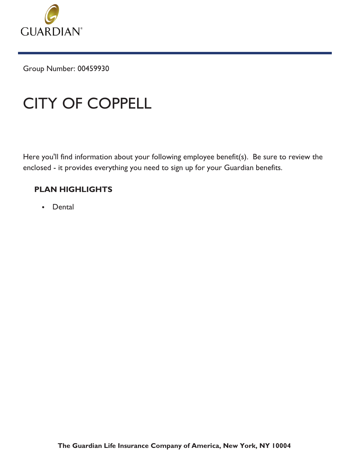

Group Number: 00459930

# CITY OF COPPELL

Here you'll find information about your following employee benefit(s). Be sure to review the enclosed - it provides everything you need to sign up for your Guardian benefits.

## **PLAN HIGHLIGHTS**

• Dental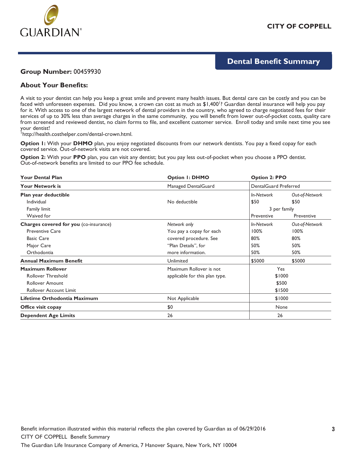

## **Dental Benefit Summary**

### **Group Number:** 00459930

### **About Your Benefits:**

A visit to your dentist can help you keep a great smile and prevent many health issues. But dental care can be costly and you can be faced with unforeseen expenses. Did you know, a crown can cost as much as \$1,400<sup>1</sup>? Guardian dental insurance will help you pay for it. With access to one of the largest network of dental providers in the country, who agreed to charge negotiated fees for their services of up to 30% less than average charges in the same community, you will benefit from lower out-of-pocket costs, quality care from screened and reviewed dentist, no claim forms to file, and excellent customer service. Enroll today and smile next time you see your dentist!

<sup>1</sup>http://health.costhelper.com/dental-crown.html.

**Option 1:** With your **DHMO** plan, you enjoy negotiated discounts from our network dentists. You pay a fixed copay for each covered service. Out-of-network visits are not covered.

**Option 2:** With your **PPO** plan, you can visit any dentist; but you pay less out-of-pocket when you choose a PPO dentist. Out-of-network benefits are limited to our PPO fee schedule.

| <b>Your Dental Plan</b>                | <b>Option I: DHMO</b>          | <b>Option 2: PPO</b>  |                |
|----------------------------------------|--------------------------------|-----------------------|----------------|
| <b>Your Network is</b>                 | Managed DentalGuard            | DentalGuard Preferred |                |
| Plan year deductible                   |                                | In-Network            | Out-of-Network |
| Individual                             | No deductible                  | \$50                  | \$50           |
| Family limit                           |                                | 3 per family          |                |
| Waived for                             |                                | Preventive            | Preventive     |
| Charges covered for you (co-insurance) | Network only                   | In-Network            | Out-of-Network |
| <b>Preventive Care</b>                 | You pay a copay for each       | 100%                  | 100%           |
| <b>Basic Care</b>                      | covered procedure. See         | 80%                   | 80%            |
| Major Care                             | "Plan Details", for            | 50%                   | 50%            |
| Orthodontia                            | more information.              | 50%                   | 50%            |
| <b>Annual Maximum Benefit</b>          | Unlimited                      | \$5000                | \$5000         |
| <b>Maximum Rollover</b>                | Maximum Rollover is not        | Yes                   |                |
| <b>Rollover Threshold</b>              | applicable for this plan type. | \$1000                |                |
| <b>Rollover Amount</b>                 |                                | \$500                 |                |
| <b>Rollover Account Limit</b>          |                                |                       | \$1500         |
| Lifetime Orthodontia Maximum           | Not Applicable                 | \$1000                |                |
| Office visit copay                     | \$0                            | None                  |                |
| <b>Dependent Age Limits</b>            | 26                             | 26                    |                |

The Guardian Life Insurance Company of America, 7 Hanover Square, New York, NY 10004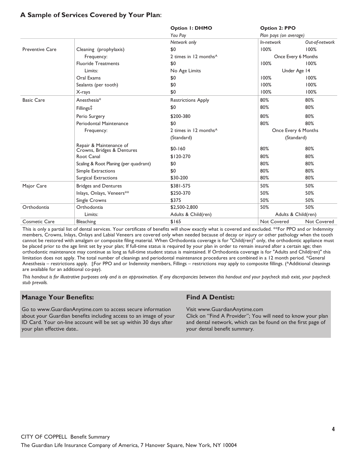## **A Sample of Services Covered by Your Plan:**

|                        |                                                       | <b>Option I: DHMO</b>             | <b>Option 2: PPO</b>   |                     |
|------------------------|-------------------------------------------------------|-----------------------------------|------------------------|---------------------|
|                        |                                                       | You Pay                           | Plan pays (on average) |                     |
|                        |                                                       | Network only                      | In-network             | Out-of-network      |
| <b>Preventive Care</b> | Cleaning (prophylaxis)                                | \$0                               | 100%                   | 100%                |
|                        | Frequency:                                            | 2 times in 12 months <sup>^</sup> |                        | Once Every 6 Months |
|                        | <b>Fluoride Treatments</b>                            | \$0                               | 100%                   | 100%                |
|                        | Limits:                                               | No Age Limits                     |                        | Under Age 14        |
|                        | Oral Exams                                            | \$0                               | 100%                   | 100%                |
|                        | Sealants (per tooth)                                  | \$0                               | 100%                   | 100%                |
|                        | X-rays                                                | \$0                               | 100%                   | 100%                |
| <b>Basic Care</b>      | Anesthesia*                                           | <b>Restrictions Apply</b>         | 80%                    | 80%                 |
|                        | Fillings <sup>‡</sup>                                 | \$0                               | 80%                    | 80%                 |
|                        | Perio Surgery                                         | \$200-380                         | 80%                    | 80%                 |
|                        | Periodontal Maintenance                               | \$0                               | 80%                    | 80%                 |
|                        | Frequency:                                            | 2 times in 12 months <sup>^</sup> | Once Every 6 Months    |                     |
|                        |                                                       | (Standard)                        |                        | (Standard)          |
|                        | Repair & Maintenance of<br>Crowns, Bridges & Dentures | $$0-160$                          | 80%                    | 80%                 |
|                        | Root Canal                                            | \$120-270                         | 80%                    | 80%                 |
|                        | Scaling & Root Planing (per quadrant)                 | \$0                               | 80%                    | 80%                 |
|                        | Simple Extractions                                    | \$0                               | 80%                    | 80%                 |
|                        | Surgical Extractions                                  | \$30-200                          | 80%                    | 80%                 |
| Major Care             | <b>Bridges and Dentures</b>                           | \$381-575                         | 50%                    | 50%                 |
|                        | Inlays, Onlays, Veneers**                             | \$250-370                         | 50%                    | 50%                 |
|                        | Single Crowns                                         | \$375                             | 50%                    | 50%                 |
| Orthodontia            | Orthodontia                                           | \$2,500-2,800                     | 50%                    | 50%                 |
|                        | Limits:                                               | Adults & Child(ren)               |                        | Adults & Child(ren) |
| <b>Cosmetic Care</b>   | Bleaching                                             | \$165                             | Not Covered            | <b>Not Covered</b>  |

This is only a partial list of dental services. Your certificate of benefits will show exactly what is covered and excluded. \*\*For PPO and or Indemnity members, Crowns, Inlays, Onlays and Labial Veneers are covered only when needed because of decay or injury or other pathology when the tooth cannot be restored with amalgam or composite filing material. When Orthodontia coverage is for "Child(ren)" only, the orthodontic appliance must be placed prior to the age limit set by your plan; If full-time status is required by your plan in order to remain insured after a certain age; then orthodontic maintenance may continue as long as full-time student status is maintained. If Orthodontia coverage is for "Adults and Child(ren)" this limitation does not apply. The total number of cleanings and periodontal maintenance procedures are combined in a 12 month period. \*General Anesthesia – restrictions apply. ‡For PPO and or Indemnity members, Fillings – restrictions may apply to composite fillings. (^Additional cleanings are available for an additional co-pay).

This handout is for illustrative purposes only and is an approximation. If any discrepancies between this handout and your paycheck stub exist, your paycheck stub prevails.

## **Manage Your Benefits:**

Go to www.GuardianAnytime.com to access secure information about your Guardian benefits including access to an image of your ID Card. Your on-line account will be set up within 30 days after your plan effective date..

### **Find A Dentist:**

Visit www.GuardianAnytime.com

Click on "Find A Provider"; You will need to know your plan and dental network, which can be found on the first page of your dental benefit summary.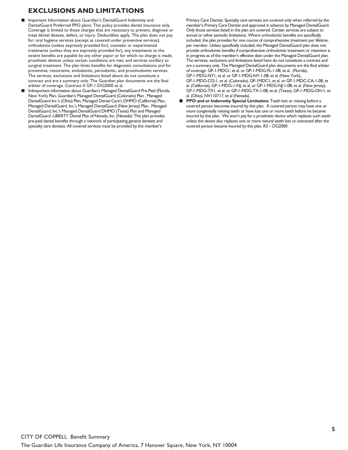## **EXCLUSIONS AND LIMITATIONS**

- Important Information about Guardian's DentalGuard Indemnity and DentalGuard Preferred PPO plans: This policy provides dental insurance only. Coverage is limited to those charges that are necessary to prevent, diagnose or treat dental disease, defect, or injury. Deductibles apply. The plan does not pay for: oral hygiene services (except as covered under preventive services), orthodontia (unless expressly provided for), cosmetic or experimental treatments (unless they are expressly provided for), any treatments to the extent benefits are payable by any other payor or for which no charge is made, prosthetic devices unless certain conditions are met, and services ancillary to surgical treatment. The plan limits benefits for diagnostic consultations and for preventive, restorative, endodontic, periodontic, and prosthodontic services. The services, exclusions and limitations listed above do not constitute a contract and are a summary only. The Guardian plan documents are the final arbiter of coverage. Contract # GP-1-DG2000 et al.
- ImImportant information about Guardian's Managed DentalGuard Pre-Paid (Florida, New York) Plan, Guardian's Managed DentalGuard (Colorado) Plan , Managed DentalGuard Inc.'s (Ohio) Plan, Managed Dental Care's DHMO (California) Plan, Managed DentalGuard, Inc.'s Managed DentalGuard (New Jersey) Plan, Managed DentalGuard, Inc.'s Managed DentalGuard DHMO (Texas) Plan and Managed DentalGuard -LIBERTY Dental Plan of Nevada, Inc. (Nevada): This plan provides pre-paid dental benefits through a network of participating general dentists and specialty care dentists. All covered services must be provided by the member's

Primary Care Dentist. Specialty care services are covered only when referred by the member's Primary Care Dentist and approved in advance by Managed DentalGuard. Only those services listed in the plan are covered. Certain services are subject to annual or other periodic limitations. Where orthodontic benefits are specifically included, the plan provides for one course of comprehensive treatment per lifetime, per member. Unless specifically included, the Managed DentalGuard plan does not provide orthodontic benefits if comprehensive orthodontic treatment or retention is in progress as of the member's effective date under the Managed DentalGuard plan. The services, exclusions and limitations listed here do not constitute a contract and are a summary only. The Managed DentalGuard plan documents are the final arbiter of coverage. GP-1-MDG1, et al. or GP-1-MDG-FL-1-08, et al. (Florida), GP-1-MDG-NY1, et al. or GP-1-MDG-NY-1-08, et al. (New York), GP-1-MDG-CO-1, et al. (Colorado), GP-1MDC1, et al. or GP-1-MDC-CA-1-08, et al. (California), GP-1-MDG-1-NJ, et al. or GP-1-MDG-NJ-1-08, et al. (New Jersey), GP-1-MDG-TX1, et al. or GP-1-MDG-TX-1-08, et al. (Texas), GP-1-MDG-OH-1, et al. (Ohio), NV110717, et al (Nevada).

**PPO and or Indemnity Special Limitation:** Teeth lost or missing before a covered person becomes insured by this plan. A covered person may have one or more congenitally missing teeth or have lost one or more teeth before he became insured by this plan. We won't pay for a prosthetic device which replaces such teeth unless the device also replaces one or more natural teeth lost or extracted after the covered person became insured by this plan. R3 – DG2000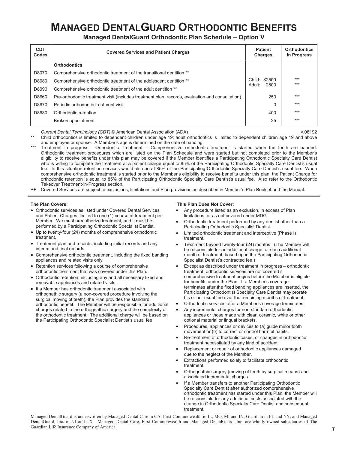## **MANAGED DENTALGUARD ORTHODONTIC BENEFITS**

**Managed DentalGuard Orthodontic Plan Schedule – Option V** 

| <b>CDT</b><br><b>Codes</b> | <b>Covered Services and Patient Charges</b>                                                     | <b>Patient</b><br><b>Charges</b> | <b>Orthodontics</b><br>In Progress |
|----------------------------|-------------------------------------------------------------------------------------------------|----------------------------------|------------------------------------|
|                            | <b>Orthodontics</b>                                                                             |                                  |                                    |
| D8070                      | Comprehensive orthodontic treatment of the transitional dentition **                            |                                  |                                    |
| D8080                      | Comprehensive orthodontic treatment of the adolescent dentition **                              | Child: \$2500                    | $***$<br>$***$                     |
| D8090                      | Comprehensive orthodontic treatment of the adult dentition **                                   | 2800<br>Adult:                   |                                    |
| D8660                      | Pre-orthodontic treatment visit (includes treatment plan, records, evaluation and consultation) | 250                              | $***$                              |
| D8670                      | Periodic orthodontic treatment visit                                                            | 0                                | $***$                              |
| D8680                      | Orthodontic retention                                                                           | 400                              | $***$                              |
|                            | Broken appointment                                                                              | 25                               | $***$                              |

*Current Dental Terminology (CDT)* © American Dental Association (ADA) v.08192

Child orthodontics is limited to dependent children under age 19; adult orthodontics is limited to dependent children age 19 and above and employee or spouse. A Member's age is determined on the date of banding.

- Treatment in progress: Orthodontic Treatment Comprehensive orthodontic treatment is started when the teeth are banded. Orthodontic treatment procedures which are listed on the Plan Schedule and were started but not completed prior to the Member's eligibility to receive benefits under this plan may be covered if the Member identifies a Participating Orthodontic Specialty Care Dentist who is willing to complete the treatment at a patient charge equal to 85% of the Participating Orthodontic Specialty Care Dentist's usual fee. In this situation retention services would also be at 85% of the Participating Orthodontic Specialty Care Dentist's usual fee. When comprehensive orthodontic treatment is started prior to the Member's eligibility to receive benefits under this plan, the Patient Charge for orthodontic retention is equal to 85% of the Participating Orthodontic Specialty Care Dentist's usual fee. Also refer to the Orthodontic Takeover Treatment-in-Progress section.
- ++ Covered Services are subject to exclusions, limitations and Plan provisions as described in Member's Plan Booklet and the Manual.

#### **The Plan Covers:**

- Orthodontic services as listed under Covered Dental Services and Patient Charges, limited to one (1) course of treatment per Member. We must preauthorize treatment, and it must be performed by a Participating Orthodontic Specialist Dentist.
- Up to twenty-four (24) months of comprehensive orthodontic treatment.
- Treatment plan and records, including initial records and any interim and final records.
- Comprehensive orthodontic treatment, including the fixed banding appliances and related visits only.
- Retention services following a course of comprehensive orthodontic treatment that was covered under this Plan.
- Orthodontic retention, including any and all necessary fixed and removable appliances and related visits.
- If a Member has orthodontic treatment associated with orthognathic surgery (a non-covered procedure involving the surgical moving of teeth), the Plan provides the standard orthodontic benefit. The Member will be responsible for additional charges related to the orthognathic surgery and the complexity of the orthodontic treatment. The additional charge will be based on the Participating Orthodontic Specialist Dentist's usual fee.

#### **This Plan Does Not Cover:**

- Any procedure listed as an exclusion, in excess of Plan limitations, or as not covered under MDG.
- Orthodontic treatment performed by any dentist other than a Participating Orthodontic Specialist Dentist.
- Limited orthodontic treatment and interceptive (Phase I) treatment.
- Treatment beyond twenty-four (24) months. (The Member will be responsible for an additional charge for each additional month of treatment, based upon the Participating Orthodontic Specialist Dentist's contracted fee.)
- x Except as described under treatment in progress orthodontic treatment, orthodontic services are not covered if comprehensive treatment begins before the Member is eligible for benefits under the Plan. If a Member's coverage terminates after the fixed banding appliances are inserted, the Participating Orthodontist Specialty Care Dentist may prorate his or her usual fee over the remaining months of treatment.
- Orthodontic services after a Member's coverage terminates.
- Any incremental charges for non-standard orthodontic appliances or those made with clear, ceramic, white or other optional material or linqual brackets.
- Procedures, appliances or devices to (a) guide minor tooth movement or (b) to correct or control harmful habits.
- Re-treatment of orthodontic cases, or changes in orthodontic treatment necessitated by any kind of accident.
- Replacement or repair of orthodontic appliances damaged due to the neglect of the Member.
- Extractions performed solely to facilitate orthodontic treatment.
- Orthognathic surgery (moving of teeth by surgical means) and associated incremental charges.
- If a Member transfers to another Participating Orthodontic Specialty Care Dentist after authorized comprehensive orthodontic treatment has started under this Plan, the Member will be responsible for any additional costs associated with the change in Orthodontic Specialty Care Dentist and subsequent treatment.

Managed DentalGuard is underwritten by Managed Dental Care in CA; First Commonwealth in IL, MO, MI and IN; Guardian in FL and NY, and Managed DentalGuard, Inc. in NJ and TX. Managed Dental Care, First Commonwealth and Managed DentalGuard, Inc. are wholly owned subsidiaries of The Guardian Life Insurance Company of America.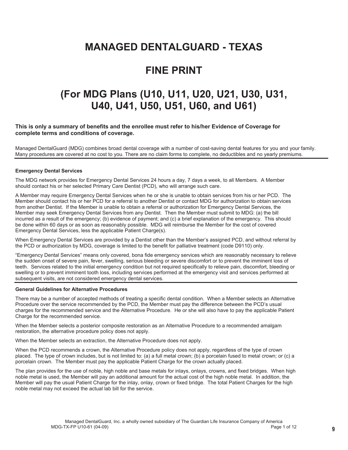## **MANAGED DENTALGUARD - TEXAS**

## **FINE PRINT**

## **(For MDG Plans (U10, U11, U20, U21, U30, U31, U40, U41, U50, U51, U60, and U61)**

#### **This is only a summary of benefits and the enrollee must refer to his/her Evidence of Coverage for complete terms and conditions of coverage.**

Managed DentalGuard (MDG) combines broad dental coverage with a number of cost-saving dental features for you and your family. Many procedures are covered at no cost to you. There are no claim forms to complete, no deductibles and no yearly premiums.

#### **Emergency Dental Services**

The MDG network provides for Emergency Dental Services 24 hours a day, 7 days a week, to all Members. A Member should contact his or her selected Primary Care Dentist (PCD), who will arrange such care.

A Member may require Emergency Dental Services when he or she is unable to obtain services from his or her PCD. The Member should contact his or her PCD for a referral to another Dentist or contact MDG for authorization to obtain services from another Dentist. If the Member is unable to obtain a referral or authorization for Emergency Dental Services, the Member may seek Emergency Dental Services from any Dentist. Then the Member must submit to MDG: (a) the bill incurred as a result of the emergency; (b) evidence of payment; and (c) a brief explanation of the emergency. This should be done within 60 days or as soon as reasonably possible. MDG will reimburse the Member for the cost of covered Emergency Dental Services, less the applicable Patient Charge(s).

When Emergency Dental Services are provided by a Dentist other than the Member's assigned PCD, and without referral by the PCD or authorization by MDG, coverage is limited to the benefit for palliative treatment (code D9110) only.

"Emergency Dental Services" means only covered, bona fide emergency services which are reasonably necessary to relieve the sudden onset of severe pain, fever, swelling, serious bleeding or severe discomfort or to prevent the imminent loss of teeth. Services related to the initial emergency condition but not required specifically to relieve pain, discomfort, bleeding or swelling or to prevent imminent tooth loss, including services performed at the emergency visit and services performed at subsequent visits, are not considered emergency dental services.

#### **General Guidelines for Alternative Procedures**

There may be a number of accepted methods of treating a specific dental condition. When a Member selects an Alternative Procedure over the service recommended by the PCD, the Member must pay the difference between the PCD's usual charges for the recommended service and the Alternative Procedure. He or she will also have to pay the applicable Patient Charge for the recommended service.

When the Member selects a posterior composite restoration as an Alternative Procedure to a recommended amalgam restoration, the alternative procedure policy does not apply.

When the Member selects an extraction, the Alternative Procedure does not apply.

When the PCD recommends a crown, the Alternative Procedure policy does not apply, regardless of the type of crown placed. The type of crown includes, but is not limited to: (a) a full metal crown; (b) a porcelain fused to metal crown; or (c) a porcelain crown. The Member must pay the applicable Patient Charge for the crown actually placed.

The plan provides for the use of noble, high noble and base metals for inlays, onlays, crowns, and fixed bridges. When high noble metal is used, the Member will pay an additional amount for the actual cost of the high noble metal. In addition, the Member will pay the usual Patient Charge for the inlay, onlay, crown or fixed bridge. The total Patient Charges for the high noble metal may not exceed the actual lab bill for the service.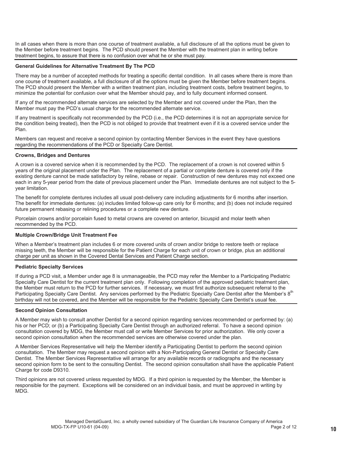In all cases when there is more than one course of treatment available, a full disclosure of all the options must be given to the Member before treatment begins. The PCD should present the Member with the treatment plan in writing before treatment begins, to assure that there is no confusion over what he or she must pay.

#### **General Guidelines for Alternative Treatment By The PCD**

There may be a number of accepted methods for treating a specific dental condition. In all cases where there is more than one course of treatment available, a full disclosure of all the options must be given the Member before treatment begins. The PCD should present the Member with a written treatment plan, including treatment costs, before treatment begins, to minimize the potential for confusion over what the Member should pay, and to fully document informed consent.

If any of the recommended alternate services are selected by the Member and not covered under the Plan, then the Member must pay the PCD's usual charge for the recommended alternate service.

If any treatment is specifically not recommended by the PCD (i.e., the PCD determines it is not an appropriate service for the condition being treated), then the PCD is not obliged to provide that treatment even if it is a covered service under the Plan.

Members can request and receive a second opinion by contacting Member Services in the event they have questions regarding the recommendations of the PCD or Specialty Care Dentist.

#### **Crowns, Bridges and Dentures**

A crown is a covered service when it is recommended by the PCD. The replacement of a crown is not covered within 5 years of the original placement under the Plan. The replacement of a partial or complete denture is covered only if the existing denture cannot be made satisfactory by reline, rebase or repair. Construction of new dentures may not exceed one each in any 5-year period from the date of previous placement under the Plan. Immediate dentures are not subject to the 5 year limitation.

The benefit for complete dentures includes all usual post-delivery care including adjustments for 6 months after insertion. The benefit for immediate dentures: (a) includes limited follow-up care only for 6 months; and (b) does not include required future permanent rebasing or relining procedures or a complete new denture.

Porcelain crowns and/or porcelain fused to metal crowns are covered on anterior, bicuspid and molar teeth when recommended by the PCD.

### **Multiple Crown/Bridge Unit Treatment Fee**

When a Member's treatment plan includes 6 or more covered units of crown and/or bridge to restore teeth or replace missing teeth, the Member will be responsible for the Patient Charge for each unit of crown or bridge, plus an additional charge per unit as shown in the Covered Dental Services and Patient Charge section.

#### **Pediatric Specialty Services**

If during a PCD visit, a Member under age 8 is unmanageable, the PCD may refer the Member to a Participating Pediatric Specialty Care Dentist for the current treatment plan only. Following completion of the approved pediatric treatment plan, the Member must return to the PCD for further services. If necessary, we must first authorize subsequent referral to the Participating Specialty Care Dentist. Any services performed by the Pediatric Specialty Care Dentist after the Member's 8<sup>th</sup> birthday will not be covered, and the Member will be responsible for the Pediatric Specialty Care Dentist's usual fee.

#### **Second Opinion Consultation**

A Member may wish to consult another Dentist for a second opinion regarding services recommended or performed by: (a) his or her PCD; or (b) a Participating Specialty Care Dentist through an authorized referral. To have a second opinion consultation covered by MDG, the Member must call or write Member Services for prior authorization. We only cover a second opinion consultation when the recommended services are otherwise covered under the plan.

A Member Services Representative will help the Member identify a Participating Dentist to perform the second opinion consultation. The Member may request a second opinion with a Non-Participating General Dentist or Specialty Care Dentist. The Member Services Representative will arrange for any available records or radiographs and the necessary second opinion form to be sent to the consulting Dentist. The second opinion consultation shall have the applicable Patient Charge for code D9310.

Third opinions are not covered unless requested by MDG. If a third opinion is requested by the Member, the Member is responsible for the payment. Exceptions will be considered on an individual basis, and must be approved in writing by MDG.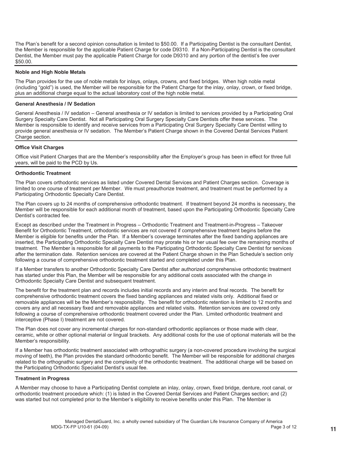The Plan's benefit for a second opinion consultation is limited to \$50.00. If a Participating Dentist is the consultant Dentist, the Member is responsible for the applicable Patient Charge for code D9310. If a Non-Participating Dentist is the consultant Dentist, the Member must pay the applicable Patient Charge for code D9310 and any portion of the dentist's fee over \$50.00.

#### **Noble and High Noble Metals**

The Plan provides for the use of noble metals for inlays, onlays, crowns, and fixed bridges. When high noble metal (including "gold") is used, the Member will be responsible for the Patient Charge for the inlay, onlay, crown, or fixed bridge, plus an additional charge equal to the actual laboratory cost of the high noble metal.

#### **General Anesthesia / IV Sedation**

General Anesthesia / IV sedation – General anesthesia or IV sedation is limited to services provided by a Participating Oral Surgery Specialty Care Dentist. Not all Participating Oral Surgery Specialty Care Dentists offer these services. The Member is responsible to identify and receive services from a Participating Oral Surgery Specialty Care Dentist willing to provide general anesthesia or IV sedation. The Member's Patient Charge shown in the Covered Dental Services Patient Charge section.

#### **Office Visit Charges**

Office visit Patient Charges that are the Member's responsibility after the Employer's group has been in effect for three full years, will be paid to the PCD by Us.

#### **Orthodontic Treatment**

The Plan covers orthodontic services as listed under Covered Dental Services and Patient Charges section. Coverage is limited to one course of treatment per Member. We must preauthorize treatment, and treatment must be performed by a Participating Orthodontic Specialty Care Dentist.

The Plan covers up to 24 months of comprehensive orthodontic treatment. If treatment beyond 24 months is necessary, the Member will be responsible for each additional month of treatment, based upon the Participating Orthodontic Specialty Care Dentist's contracted fee.

Except as described under the Treatment in Progress – Orthodontic Treatment and Treatment-in-Progress – Takeover Benefit for Orthodontic Treatment, orthodontic services are not covered if comprehensive treatment begins before the Member is eligible for benefits under the Plan. If a Member's coverage terminates after the fixed banding appliances are inserted, the Participating Orthodontic Specialty Care Dentist may prorate his or her usual fee over the remaining months of treatment. The Member is responsible for all payments to the Participating Orthodontic Specialty Care Dentist for services after the termination date. Retention services are covered at the Patient Charge shown in the Plan Schedule's section only following a course of comprehensive orthodontic treatment started and completed under this Plan.

If a Member transfers to another Orthodontic Specialty Care Dentist after authorized comprehensive orthodontic treatment has started under this Plan, the Member will be responsible for any additional costs associated with the change in Orthodontic Specialty Care Dentist and subsequent treatment.

The benefit for the treatment plan and records includes initial records and any interim and final records. The benefit for comprehensive orthodontic treatment covers the fixed banding appliances and related visits only. Additional fixed or removable appliances will be the Member's responsibility. The benefit for orthodontic retention is limited to 12 months and covers any and all necessary fixed and removable appliances and related visits. Retention services are covered only following a course of comprehensive orthodontic treatment covered under the Plan. Limited orthodontic treatment and interceptive (Phase I) treatment are not covered.

The Plan does not cover any incremental charges for non-standard orthodontic appliances or those made with clear, ceramic, white or other optional material or lingual brackets. Any additional costs for the use of optional materials will be the Member's responsibility.

If a Member has orthodontic treatment associated with orthognathic surgery (a non-covered procedure involving the surgical moving of teeth), the Plan provides the standard orthodontic benefit. The Member will be responsible for additional charges related to the orthognathic surgery and the complexity of the orthodontic treatment. The additional charge will be based on the Participating Orthodontic Specialist Dentist's usual fee.

#### **Treatment in Progress**

A Member may choose to have a Participating Dentist complete an inlay, onlay, crown, fixed bridge, denture, root canal, or orthodontic treatment procedure which: (1) is listed in the Covered Dental Services and Patient Charges section; and (2) was started but not completed prior to the Member's eligibility to receive benefits under this Plan. The Member is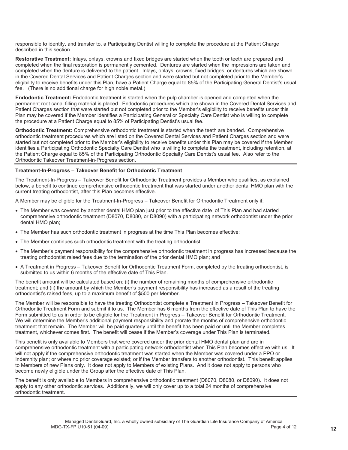responsible to identify, and transfer to, a Participating Dentist willing to complete the procedure at the Patient Charge described in this section.

**Restorative Treatment:** Inlays, onlays, crowns and fixed bridges are started when the tooth or teeth are prepared and completed when the final restoration is permanently cemented. Dentures are started when the impressions are taken and completed when the denture is delivered to the patient. Inlays, onlays, crowns, fixed bridges, or dentures which are shown in the Covered Dental Services and Patient Charges section and were started but not completed prior to the Member's eligibility to receive benefits under this Plan, have a Patient Charge equal to 85% of the Participating General Dentist's usual fee. (There is no additional charge for high noble metal.)

**Endodontic Treatment:** Endodontic treatment is started when the pulp chamber is opened and completed when the permanent root canal filling material is placed. Endodontic procedures which are shown in the Covered Dental Services and Patient Charges section that were started but not completed prior to the Member's eligibility to receive benefits under this Plan may be covered if the Member identifies a Participating General or Specialty Care Dentist who is willing to complete the procedure at a Patient Charge equal to 85% of Participating Dentist's usual fee.

**Orthodontic Treatment:** Comprehensive orthodontic treatment is started when the teeth are banded. Comprehensive orthodontic treatment procedures which are listed on the Covered Dental Services and Patient Charges section and were started but not completed prior to the Member's eligibility to receive benefits under this Plan may be covered if the Member identifies a Participating Orthodontic Specialty Care Dentist who is willing to complete the treatment, including retention, at the Patient Charge equal to 85% of the Participating Orthodontic Specialty Care Dentist's usual fee. Also refer to the Orthodontic Takeover Treatment-in-Progress section.

#### **Treatment-In-Progress – Takeover Benefit for Orthodontic Treatment**

The Treatment-In-Progress – Takeover Benefit for Orthodontic Treatment provides a Member who qualifies, as explained below, a benefit to continue comprehensive orthodontic treatment that was started under another dental HMO plan with the current treating orthodontist, after this Plan becomes effective.

A Member may be eligible for the Treatment-In-Progress – Takeover Benefit for Orthodontic Treatment only if:

- The Member was covered by another dental HMO plan just prior to the effective date of This Plan and had started comprehensive orthodontic treatment (D8070, D8080, or D8090) with a participating network orthodontist under the prior dental HMO plan;
- The Member has such orthodontic treatment in progress at the time This Plan becomes effective;
- The Member continues such orthodontic treatment with the treating orthodontist;
- The Member's payment responsibility for the comprehensive orthodontic treatment in progress has increased because the treating orthodontist raised fees due to the termination of the prior dental HMO plan; and
- A Treatment in Progress Takeover Benefit for Orthodontic Treatment Form, completed by the treating orthodontist, is submitted to us within 6 months of the effective date of This Plan.

The benefit amount will be calculated based on: (i) the number of remaining months of comprehensive orthodontic treatment; and (ii) the amount by which the Member's payment responsibility has increased as a result of the treating orthodontist's raised fees, up to a maximum benefit of \$500 per Member.

The Member will be responsible to have the treating Orthodontist complete a Treatment in Progress – Takeover Benefit for Orthodontic Treatment Form and submit it to us. The Member has 6 months from the effective date of This Plan to have the Form submitted to us in order to be eligible for the Treatment in Progress – Takeover Benefit for Orthodontic Treatment. We will determine the Member's additional payment responsibility and prorate the months of comprehensive orthodontic treatment that remain. The Member will be paid quarterly until the benefit has been paid or until the Member completes treatment, whichever comes first. The benefit will cease if the Member's coverage under This Plan is terminated.

This benefit is only available to Members that were covered under the prior dental HMO dental plan and are in comprehensive orthodontic treatment with a participating network orthodontist when This Plan becomes effective with us. It will not apply if the comprehensive orthodontic treatment was started when the Member was covered under a PPO or Indemnity plan; or where no prior coverage existed; or if the Member transfers to another orthodontist. This benefit applies to Members of new Plans only. It does not apply to Members of existing Plans. And it does not apply to persons who become newly eligible under the Group after the effective date of This Plan.

The benefit is only available to Members in comprehensive orthodontic treatment (D8070, D8080, or D8090). It does not apply to any other orthodontic services. Additionally, we will only cover up to a total 24 months of comprehensive orthodontic treatment.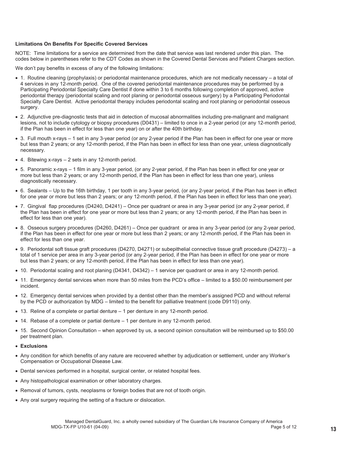#### **Limitations On Benefits For Specific Covered Services**

NOTE: Time limitations for a service are determined from the date that service was last rendered under this plan. The codes below in parentheses refer to the CDT Codes as shown in the Covered Dental Services and Patient Charges section.

We don't pay benefits in excess of any of the following limitations:

- 1. Routine cleaning (prophylaxis) or periodontal maintenance procedures, which are not medically necessary a total of 4 services in any 12-month period. One of the covered periodontal maintenance procedures may be performed by a Participating Periodontal Specialty Care Dentist if done within 3 to 6 months following completion of approved, active periodontal therapy (periodontal scaling and root planing or periodontal osseous surgery) by a Participating Periodontal Specialty Care Dentist. Active periodontal therapy includes periodontal scaling and root planing or periodontal osseous surgery.
- 2. Adjunctive pre-diagnostic tests that aid in detection of mucosal abnormalities including pre-malignant and malignant lesions, not to include cytology or biopsy procedures (D0431) – limited to once in a 2-year period (or any 12-month period, if the Plan has been in effect for less than one year) on or after the 40th birthday.
- 3. Full mouth x-rays 1 set in any 3-year period (or any 2-year period if the Plan has been in effect for one year or more but less than 2 years; or any 12-month period, if the Plan has been in effect for less than one year, unless diagnostically necessary.
- $\bullet$  4. Bitewing x-rays  $-2$  sets in any 12-month period.
- x 5. Panoramic x-rays 1 film in any 3-year period, (or any 2-year period, if the Plan has been in effect for one year or more but less than 2 years; or any 12-month period, if the Plan has been in effect for less than one year), unless diagnostically necessary.
- 6. Sealants Up to the 16th birthday, 1 per tooth in any 3-year period, (or any 2-year period, if the Plan has been in effect for one year or more but less than 2 years; or any 12-month period, if the Plan has been in effect for less than one year).
- 7. Gingival flap procedures (D4240, D4241) Once per quadrant or area in any 3-year period (or any 2-year period, if the Plan has been in effect for one year or more but less than 2 years; or any 12-month period, if the Plan has been in effect for less than one year).
- x 8. Osseous surgery procedures (D4260, D4261) Once per quadrant or area in any 3-year period (or any 2-year period, if the Plan has been in effect for one year or more but less than 2 years; or any 12-month period, if the Plan has been in effect for less than one year.
- x 9. Periodontal soft tissue graft procedures (D4270, D4271) or subepithelial connective tissue graft procedure (D4273) a total of 1 service per area in any 3-year period (or any 2-year period, if the Plan has been in effect for one year or more but less than 2 years; or any 12-month period, if the Plan has been in effect for less than one year).
- 10. Periodontal scaling and root planing (D4341, D4342) 1 service per quadrant or area in any 12-month period.
- 11. Emergency dental services when more than 50 miles from the PCD's office limited to a \$50.00 reimbursement per incident.
- 12. Emergency dental services when provided by a dentist other than the member's assigned PCD and without referral by the PCD or authorization by MDG – limited to the benefit for palliative treatment (code D9110) only.
- $\bullet$  13. Reline of a complete or partial denture 1 per denture in any 12-month period.
- $\bullet$  14. Rebase of a complete or partial denture 1 per denture in any 12-month period.
- 15. Second Opinion Consultation when approved by us, a second opinion consultation will be reimbursed up to \$50.00 per treatment plan.
- x **Exclusions**
- Any condition for which benefits of any nature are recovered whether by adjudication or settlement, under any Worker's Compensation or Occupational Disease Law.
- Dental services performed in a hospital, surgical center, or related hospital fees.
- Any histopathological examination or other laboratory charges.
- Removal of tumors, cysts, neoplasms or foreign bodies that are not of tooth origin.
- Any oral surgery requiring the setting of a fracture or dislocation.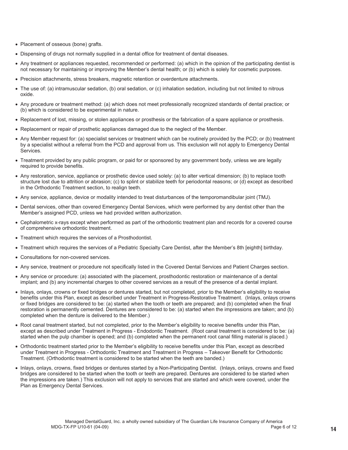- Placement of osseous (bone) grafts.
- Dispensing of drugs not normally supplied in a dental office for treatment of dental diseases.
- Any treatment or appliances requested, recommended or performed: (a) which in the opinion of the participating dentist is not necessary for maintaining or improving the Member's dental health; or (b) which is solely for cosmetic purposes.
- Precision attachments, stress breakers, magnetic retention or overdenture attachments.
- The use of: (a) intramuscular sedation, (b) oral sedation, or (c) inhalation sedation, including but not limited to nitrous oxide.
- Any procedure or treatment method: (a) which does not meet professionally recognized standards of dental practice; or (b) which is considered to be experimental in nature.
- Replacement of lost, missing, or stolen appliances or prosthesis or the fabrication of a spare appliance or prosthesis.
- Replacement or repair of prosthetic appliances damaged due to the neglect of the Member.
- Any Member request for: (a) specialist services or treatment which can be routinely provided by the PCD; or (b) treatment by a specialist without a referral from the PCD and approval from us. This exclusion will not apply to Emergency Dental Services.
- Treatment provided by any public program, or paid for or sponsored by any government body, unless we are legally required to provide benefits.
- Any restoration, service, appliance or prosthetic device used solely: (a) to alter vertical dimension; (b) to replace tooth structure lost due to attrition or abrasion; (c) to splint or stabilize teeth for periodontal reasons; or (d) except as described in the Orthodontic Treatment section, to realign teeth.
- Any service, appliance, device or modality intended to treat disturbances of the temporomandibular joint (TMJ).
- Dental services, other than covered Emergency Dental Services, which were performed by any dentist other than the Member's assigned PCD, unless we had provided written authorization.
- Cephalometric x-rays except when performed as part of the orthodontic treatment plan and records for a covered course of comprehensive orthodontic treatment.
- Treatment which requires the services of a Prosthodontist.
- Treatment which requires the services of a Pediatric Specialty Care Dentist, after the Member's 8th [eighth] birthday.
- Consultations for non-covered services.
- Any service, treatment or procedure not specifically listed in the Covered Dental Services and Patient Charges section.
- Any service or procedure: (a) associated with the placement, prosthodontic restoration or maintenance of a dental implant; and (b) any incremental charges to other covered services as a result of the presence of a dental implant.
- x Inlays, onlays, crowns or fixed bridges or dentures started, but not completed, prior to the Member's eligibility to receive benefits under this Plan, except as described under Treatment in Progress-Restorative Treatment. (Inlays, onlays crowns or fixed bridges are considered to be: (a) started when the tooth or teeth are prepared; and (b) completed when the final restoration is permanently cemented. Dentures are considered to be: (a) started when the impressions are taken; and (b) completed when the denture is delivered to the Member.)
- Root canal treatment started, but not completed, prior to the Member's eligibility to receive benefits under this Plan, except as described under Treatment in Progress - Endodontic Treatment. (Root canal treatment is considered to be: (a) started when the pulp chamber is opened; and (b) completed when the permanent root canal filling material is placed.)
- Orthodontic treatment started prior to the Member's eligibility to receive benefits under this Plan, except as described under Treatment in Progress - Orthodontic Treatment and Treatment in Progress – Takeover Benefit for Orthodontic Treatment. (Orthodontic treatment is considered to be started when the teeth are banded.)
- Inlays, onlays, crowns, fixed bridges or dentures started by a Non-Participating Dentist. (Inlays, onlays, crowns and fixed bridges are considered to be started when the tooth or teeth are prepared. Dentures are considered to be started when the impressions are taken.) This exclusion will not apply to services that are started and which were covered, under the Plan as Emergency Dental Services.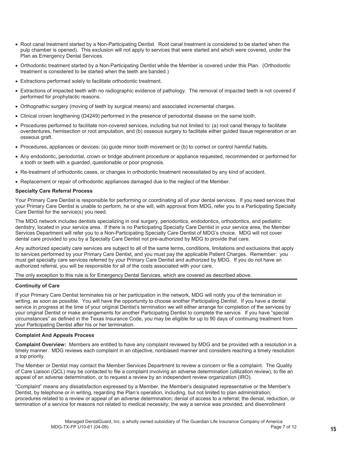- Root canal treatment started by a Non-Participating Dentist. Root canal treatment is considered to be started when the pulp chamber is opened). This exclusion will not apply to services that were started and which were covered, under the Plan as Emergency Dental Services.
- Orthodontic treatment started by a Non-Participating Dentist while the Member is covered under this Plan. (Orthodontic treatment is considered to be started when the teeth are banded.)
- Extractions performed solely to facilitate orthodontic treatment.
- Extractions of impacted teeth with no radiographic evidence of pathology. The removal of impacted teeth is not covered if performed for prophylactic reasons.
- Orthognathic surgery (moving of teeth by surgical means) and associated incremental charges.
- Clinical crown lengthening (D4249) performed in the presence of periodontal disease on the same tooth.
- Procedures performed to facilitate non-covered services, including but not limited to: (a) root canal therapy to facilitate overdentures, hemisection or root amputation, and (b) osseous surgery to facilitate either guided tissue regeneration or an osseous graft.
- Procedures, appliances or devices: (a) guide minor tooth movement or (b) to correct or control harmful habits.
- Any endodontic, periodontal, crown or bridge abutment procedure or appliance requested, recommended or performed for a tooth or teeth with a guarded, questionable or poor prognosis.
- Re-treatment of orthodontic cases, or changes in orthodontic treatment necessitated by any kind of accident.
- Replacement or repair of orthodontic appliances damaged due to the neglect of the Member.

#### **Specialty Care Referral Process**

Your Primary Care Dentist is responsible for performing or coordinating all of your dental services. If you need services that your Primary Care Dentist is unable to perform, he or she will, with approval from MDG, refer you to a Participating Specialty Care Dentist for the service(s) you need.

The MDG network includes dentists specializing in oral surgery, periodontics, endodontics, orthodontics, and pediatric dentistry, located in your service area. If there is no Participating Specialty Care Dentist in your service area, the Member Services Department will refer you to a Non-Participating Specialty Care Dentist of MDG's choice. MDG will not cover dental care provided to you by a Specialty Care Dentist not pre-authorized by MDG to provide that care.

Any authorized specialty care services are subject to all of the same terms, conditions, limitations and exclusions that apply to services performed by your Primary Care Dentist, and you must pay the applicable Patient Charges. Remember: you must get specialty care services referred by your Primary Care Dentist and authorized by MDG. If you do not have an authorized referral, you will be responsible for all of the costs associated with your care.

The only exception to this rule is for Emergency Dental Services, which are covered as described above.

#### **Continuity of Care**

If your Primary Care Dentist terminates his or her participation in the network, MDG will notify you of the termination in writing, as soon as possible. You will have the opportunity to choose another Participating Dentist. If you have a dental service in progress at the time of your original Dentist's termination we will either arrange for completion of the services by your original Dentist or make arrangements for another Participating Dentist to complete the service. If you have "special circumstances" as defined in the Texas Insurance Code, you may be eligible for up to 90 days of continuing treatment from your Participating Dentist after his or her termination.

#### **Complaint And Appeals Process**

**Complaint Overview:** Members are entitled to have any complaint reviewed by MDG and be provided with a resolution in a timely manner. MDG reviews each complaint in an objective, nonbiased manner and considers reaching a timely resolution a top priority.

The Member or Dentist may contact the Member Services Department to review a concern or file a complaint. The Quality of Care Liaison (QCL) may be contacted to file a complaint involving an adverse determination (utilization review), to file an appeal of an adverse determination, or to request a review by an independent review organization (IRO).

"Complaint" means any dissatisfaction expressed by a Member, the Member's designated representative or the Member's Dentist, by telephone or in writing, regarding the Plan's operation, including, but not limited to plan administration; procedures related to a review or appeal of an adverse determination; denial of access to a referral; the denial, reduction, or termination of a service for reasons not related to medical necessity; the way a service was provided; and disenrollment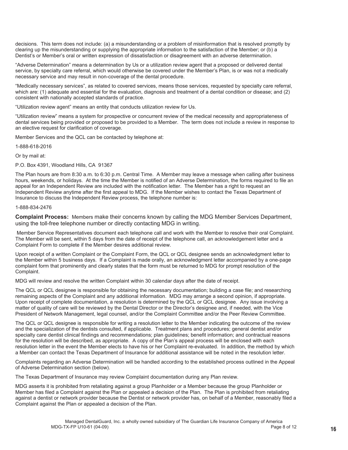decisions. This term does not include: (a) a misunderstanding or a problem of misinformation that is resolved promptly by clearing up the misunderstanding or supplying the appropriate information to the satisfaction of the Member; or (b) a Dentist's or Member's oral or written expression of dissatisfaction or disagreement with an adverse determination.

"Adverse Determination" means a determination by Us or a utilization review agent that a proposed or delivered dental service, by specialty care referral, which would otherwise be covered under the Member's Plan, is or was not a medically necessary service and may result in non-coverage of the dental procedure.

"Medically necessary services", as related to covered services, means those services, requested by specialty care referral, which are: (1) adequate and essential for the evaluation, diagnosis and treatment of a dental condition or disease; and (2) consistent with nationally accepted standards of practice.

"Utilization review agent" means an entity that conducts utilization review for Us.

"Utilization review" means a system for prospective or concurrent review of the medical necessity and appropriateness of dental services being provided or proposed to be provided to a Member. The term does not include a review in response to an elective request for clarification of coverage.

Member Services and the QCL can be contacted by telephone at:

1-888-618-2016

Or by mail at:

P.O. Box 4391, Woodland Hills, CA 91367

The Plan hours are from 8:30 a.m. to 6:30 p.m. Central Time. A Member may leave a message when calling after business hours, weekends, or holidays. At the time the Member is notified of an Adverse Determination, the forms required to file an appeal for an Independent Review are included with the notification letter. The Member has a right to request an Independent Review anytime after the first appeal to MDG. If the Member wishes to contact the Texas Department of Insurance to discuss the Independent Review process, the telephone number is:

#### 1-888-834-2476

**Complaint Process:** Members make their concerns known by calling the MDG Member Services Department, using the toll-free telephone number or directly contacting MDG in writing.

 Member Service Representatives document each telephone call and work with the Member to resolve their oral Complaint. The Member will be sent, within 5 days from the date of receipt of the telephone call, an acknowledgement letter and a Complaint Form to complete if the Member desires additional review.

Upon receipt of a written Complaint or the Complaint Form, the QCL or QCL designee sends an acknowledgment letter to the Member within 5 business days. If a Complaint is made orally, an acknowledgment letter accompanied by a one-page complaint form that prominently and clearly states that the form must be returned to MDG for prompt resolution of the Complaint.

MDG will review and resolve the written Complaint within 30 calendar days after the date of receipt.

The QCL or QCL designee is responsible for obtaining the necessary documentation; building a case file; and researching remaining aspects of the Complaint and any additional information. MDG may arrange a second opinion, if appropriate. Upon receipt of complete documentation, a resolution is determined by the QCL or QCL designee. Any issue involving a matter of quality of care will be reviewed by the Dental Director or the Director's designee and, if needed, with the Vice President of Network Management, legal counsel, and/or the Complaint Committee and/or the Peer Review Committee.

The QCL or QCL designee is responsible for writing a resolution letter to the Member indicating the outcome of the review and the specialization of the dentists consulted, if applicable. Treatment plans and procedures; general dentist and/or specialty care dentist clinical findings and recommendations; plan guidelines; benefit information; and contractual reasons for the resolution will be described, as appropriate. A copy of the Plan's appeal process will be enclosed with each resolution letter in the event the Member elects to have his or her Complaint re-evaluated. In addition, the method by which a Member can contact the Texas Department of Insurance for additional assistance will be noted in the resolution letter.

Complaints regarding an Adverse Determination will be handled according to the established process outlined in the Appeal of Adverse Determination section (below).

The Texas Department of Insurance may review Complaint documentation during any Plan review.

MDG asserts it is prohibited from retaliating against a group Planholder or a Member because the group Planholder or Member has filed a Complaint against the Plan or appealed a decision of the Plan. The Plan is prohibited from retaliating against a dentist or network provider because the Dentist or network provider has, on behalf of a Member, reasonably filed a Complaint against the Plan or appealed a decision of the Plan.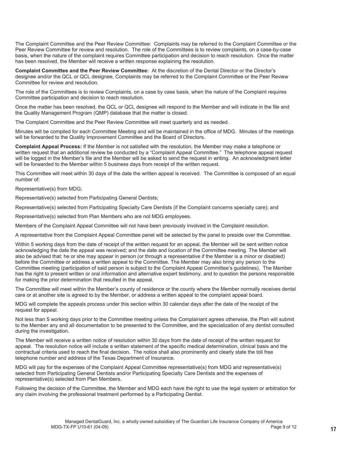The Complaint Committee and the Peer Review Committee: Complaints may be referred to the Complaint Committee or the Peer Review Committee for review and resolution. The role of the Committees is to review complaints, on a case-by-case basis, when the nature of the complaint requires Committee participation and decision to reach resolution. Once the matter has been resolved, the Member will receive a written response explaining the resolution.

**Complaint Committee and the Peer Review Committee:** At the discretion of the Dental Director or the Director's designee and/or the QCL or QCL designee, Complaints may be referred to the Complaint Committee or the Peer Review Committee for review and resolution.

The role of the Committees is to review Complaints, on a case by case basis, when the nature of the Complaint requires Committee participation and decision to reach resolution.

Once the matter has been resolved, the QCL or QCL designee will respond to the Member and will indicate in the file and the Quality Management Program (QMP) database that the matter is closed.

The Complaint Committee and the Peer Review Committee will meet quarterly and as needed.

Minutes will be compiled for each Committee Meeting and will be maintained in the office of MDG. Minutes of the meetings will be forwarded to the Quality Improvement Committee and the Board of Directors.

**Complaint Appeal Process:** If the Member is not satisfied with the resolution, the Member may make a telephone or written request that an additional review be conducted by a "Complaint Appeal Committee." The telephone appeal request will be logged in the Member's file and the Member will be asked to send the request in writing. An acknowledgment letter will be forwarded to the Member within 5 business days from receipt of the written request.

This Committee will meet within 30 days of the date the written appeal is received. The Committee is composed of an equal number of:

Representative(s) from MDG;

Representative(s) selected from Participating General Dentists;

Representative(s) selected from Participating Specialty Care Dentists (if the Complaint concerns specialty care); and

Representative(s) selected from Plan Members who are not MDG employees.

Members of the Complaint Appeal Committee will not have been previously involved in the Complaint resolution.

A representative from the Complaint Appeal Committee panel will be selected by the panel to preside over the Committee.

Within 5 working days from the date of receipt of the written request for an appeal, the Member will be sent written notice acknowledging the date the appeal was received; and the date and location of the Committee meeting. The Member will also be advised that: he or she may appear in person (or through a representative if the Member is a minor or disabled) before the Committee or address a written appeal to the Committee. The Member may also bring any person to the Committee meeting (participation of said person is subject to the Complaint Appeal Committee's guidelines). The Member has the right to present written or oral information and alternative expert testimony, and to question the persons responsible for making the prior determination that resulted in the appeal.

The Committee will meet within the Member's county of residence or the county where the Member normally receives dental care or at another site is agreed to by the Member, or address a written appeal to the complaint appeal board.

MDG will complete the appeals process under this section within 30 calendar days after the date of the receipt of the request for appeal.

Not less than 5 working days prior to the Committee meeting unless the Complainant agrees otherwise, the Plan will submit to the Member any and all documentation to be presented to the Committee, and the specialization of any dentist consulted during the investigation.

The Member will receive a written notice of resolution within 30 days from the date of receipt of the written request for appeal. The resolution notice will include a written statement of the specific medical determination, clinical basis and the contractual criteria used to reach the final decision. The notice shall also prominently and clearly state the toll free telephone number and address of the Texas Department of Insurance.

MDG will pay for the expenses of the Complaint Appeal Committee representative(s) from MDG and representative(s) selected from Participating General Dentists and/or Participating Specialty Care Dentists and the expenses of representative(s) selected from Plan Members.

Following the decision of the Committee, the Member and MDG each have the right to use the legal system or arbitration for any claim involving the professional treatment performed by a Participating Dentist.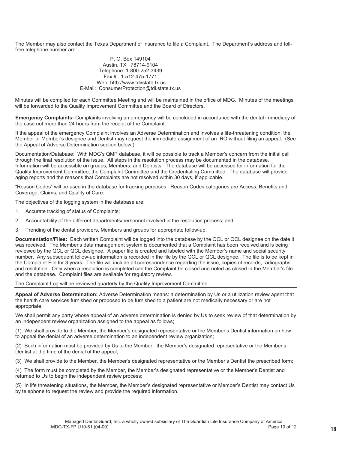The Member may also contact the Texas Department of Insurance to file a Complaint. The Department's address and tollfree telephone number are:

#### P. O. Box 149104 Austin, TX 78714-9104 Telephone: 1-800-252-3439 Fax #: 1-512-475-1771 Web: httb://www.tdi/state.tx.us E-Mail: ConsumerProtection@tdi.state.tx.us

Minutes will be compiled for each Committee Meeting and will be maintained in the office of MDG. Minutes of the meetings will be forwarded to the Quality Improvement Committee and the Board of Directors.

**Emergency Complaints:** Complaints involving an emergency will be concluded in accordance with the dental immediacy of the case not more than 24 hours from the receipt of the Complaint.

If the appeal of the emergency Complaint involves an Adverse Determination and involves a life-threatening condition, the Member or Member's designee and Dentist may request the immediate assignment of an IRO without filing an appeal. (See the Appeal of Adverse Determination section below.)

Documentation/Database: With MDG's QMP database, it will be possible to track a Member's concern from the initial call through the final resolution of the issue. All steps in the resolution process may be documented in the database. Information will be accessible on groups, Members, and Dentists. The database will be accessed for information for the Quality Improvement Committee, the Complaint Committee and the Credentialing Committee. The database will provide aging reports and the reasons that Complaints are not resolved within 30 days, if applicable.

"Reason Codes" will be used in the database for tracking purposes. Reason Codes categories are Access, Benefits and Coverage, Claims, and Quality of Care.

The objectives of the logging system in the database are:

- 1. Accurate tracking of status of Complaints;
- 2. Accountability of the different departments/personnel involved in the resolution process; and
- 3. Trending of the dental providers, Members and groups for appropriate follow-up.

**Documentation/Files:** Each written Complaint will be logged into the database by the QCL or QCL designee on the date it was received. The Member's data management system is documented that a Complaint has been received and is being reviewed by the QCL or QCL designee. A paper file is created and labeled with the Member's name and social security number. Any subsequent follow-up information is recorded in the file by the QCL or QCL designee. The file is to be kept in the Complaint File for 3 years. The file will include all correspondence regarding the issue, copies of records, radiographs and resolution. Only when a resolution is completed can the Complaint be closed and noted as closed in the Member's file and the database. Complaint files are available for regulatory review.

The Complaint Log will be reviewed quarterly by the Quality Improvement Committee.

**Appeal of Adverse Determination:** Adverse Determination means: a determination by Us or a utilization review agent that the health care services furnished or proposed to be furnished to a patient are not medically necessary or are not appropriate.

We shall permit any party whose appeal of an adverse determination is denied by Us to seek review of that determination by an independent review organization assigned to the appeal as follows;

(1) We shall provide to the Member, the Member's designated representative or the Member's Dentist information on how to appeal the denial of an adverse determination to an independent review organization;

(2) Such information must be provided by Us to the Member, the Member's designated representative or the Member's Dentist at the time of the denial of the appeal;

(3) We shall provide to the Member, the Member's designated representative or the Member's Dentist the prescribed form;

(4) The form must be completed by the Member, the Member's designated representative or the Member's Dentist and returned to Us to begin the independent review process;

(5) In life threatening situations, the Member, the Member's designated representative or Member's Dentist may contact Us by telephone to request the review and provide the required information.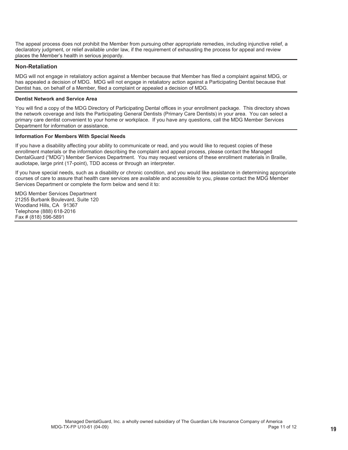The appeal process does not prohibit the Member from pursuing other appropriate remedies, including injunctive relief, a declaratory judgment, or relief available under law, if the requirement of exhausting the process for appeal and review places the Member's health in serious jeopardy.

#### **Non-Retaliation**

MDG will not engage in retaliatory action against a Member because that Member has filed a complaint against MDG, or has appealed a decision of MDG. MDG will not engage in retaliatory action against a Participating Dentist because that Dentist has, on behalf of a Member, filed a complaint or appealed a decision of MDG.

#### **Dentist Network and Service Area**

You will find a copy of the MDG Directory of Participating Dental offices in your enrollment package. This directory shows the network coverage and lists the Participating General Dentists (Primary Care Dentists) in your area. You can select a primary care dentist convenient to your home or workplace. If you have any questions, call the MDG Member Services Department for information or assistance.

#### **Information For Members With Special Needs**

If you have a disability affecting your ability to communicate or read, and you would like to request copies of these enrollment materials or the information describing the complaint and appeal process, please contact the Managed DentalGuard ("MDG") Member Services Department. You may request versions of these enrollment materials in Braille, audiotape, large print (17-point), TDD access or through an interpreter.

If you have special needs, such as a disability or chronic condition, and you would like assistance in determining appropriate courses of care to assure that health care services are available and accessible to you, please contact the MDG Member Services Department or complete the form below and send it to:

MDG Member Services Department 21255 Burbank Boulevard, Suite 120 Woodland Hills, CA 91367 Telephone (888) 618-2016 Fax # (818) 596-5891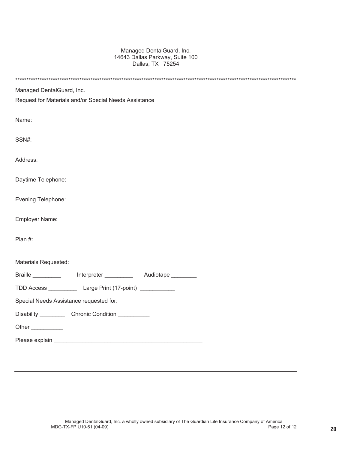#### Managed DentalGuard, Inc. 14643 Dallas Parkway, Suite 100 Dallas, TX 75254

| Managed DentalGuard, Inc.                                                        |
|----------------------------------------------------------------------------------|
| Request for Materials and/or Special Needs Assistance                            |
|                                                                                  |
| Name:                                                                            |
|                                                                                  |
| SSN#:                                                                            |
| Address:                                                                         |
|                                                                                  |
| Daytime Telephone:                                                               |
|                                                                                  |
| Evening Telephone:                                                               |
|                                                                                  |
| Employer Name:                                                                   |
| Plan #:                                                                          |
|                                                                                  |
| Materials Requested:                                                             |
|                                                                                  |
| Braille ________________ Interpreter _____________ Audiotape _________           |
| TDD Access _______________ Large Print (17-point) ___________                    |
| Special Needs Assistance requested for:                                          |
| Disability ________________Chronic Condition ___________________________________ |
| Other ___________                                                                |
|                                                                                  |
|                                                                                  |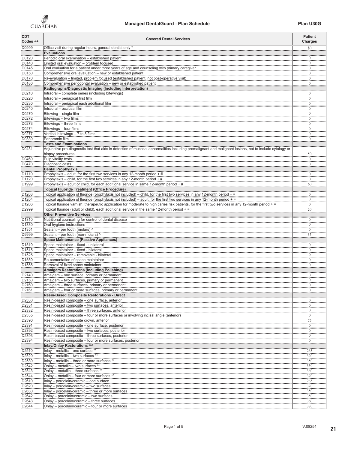| <b>CDT</b><br>Codes ++     | <b>Covered Dental Services</b>                                                                                                                                                                                                                                                  | <b>Patient</b><br>Charges         |
|----------------------------|---------------------------------------------------------------------------------------------------------------------------------------------------------------------------------------------------------------------------------------------------------------------------------|-----------------------------------|
| D0999                      | Office visit during regular hours, general dentist only *                                                                                                                                                                                                                       | \$0                               |
| D0120                      | <b>Evaluations</b>                                                                                                                                                                                                                                                              | $\Omega$                          |
| D0140                      | Periodic oral examination - established patient                                                                                                                                                                                                                                 | $\overline{0}$                    |
| D0145                      | Limited oral evaluation – problem focused<br>Circle oral evaluation – problem focused<br>Oral evaluation for a patient under three years of age and counseling with primary caregiver                                                                                           | $\bf{0}$                          |
| D0150                      | Comprehensive oral evaluation – new or established patient                                                                                                                                                                                                                      | $\overline{0}$                    |
| D0170<br>D0180             | Re-evaluation - limited, problem focused (established patient, not post-operative visit)                                                                                                                                                                                        | $\mathbf{0}$                      |
|                            | Comprehensive periodontal evaluation - new or established patient<br>Radiographs/Diagnostic Imaging (Including Interpretation)                                                                                                                                                  | $\mathbf{0}$                      |
| D0210                      | Intraoral - complete series (including bitewings)                                                                                                                                                                                                                               | $\bf{0}$                          |
| D0220                      | Intraoral - periapical first film                                                                                                                                                                                                                                               | <br>$\mathbf{0}$<br>              |
| D0230                      | Intraoral - periapical each additional film                                                                                                                                                                                                                                     | $\boldsymbol{0}$<br>              |
| D0240                      | Intraoral - occlusal film                                                                                                                                                                                                                                                       | $\mathbf{0}$<br>$\mathbf{0}$      |
| D0270<br>D0272             | Bitewing - single film<br>Bitewings – two films                                                                                                                                                                                                                                 | <br>$\ddot{0}$                    |
| D0273                      |                                                                                                                                                                                                                                                                                 | $\mathbf{0}$                      |
| D0274                      | Bitewings – three films<br>Bitewings – four films<br>Vertical bitewings – 7 to 8 films                                                                                                                                                                                          | $\mathbf{0}$<br>                  |
|                            |                                                                                                                                                                                                                                                                                 | $\bf{0}$                          |
| D0330                      | Panoramic film<br><b>Tests and Examinations</b>                                                                                                                                                                                                                                 | $\mathbf{0}$                      |
| D0431                      | Adjunctive pre-diagnostic test that aids in detection of mucosal abnormalities including premalignant and malignant lesions, not to include cytology or                                                                                                                         |                                   |
|                            | biopsy procedures                                                                                                                                                                                                                                                               | 50                                |
| D0460                      | Pulp vitality tests                                                                                                                                                                                                                                                             | $\boldsymbol{0}$<br>              |
| D0470                      | Diagnostic casts                                                                                                                                                                                                                                                                | $\boldsymbol{0}$                  |
| D1110                      | <b>Dental Prophylaxis</b><br>Prophylaxis - adult, for the first two services in any 12-month period $+$ #                                                                                                                                                                       | $\mathbf{0}$                      |
| D1120                      | Prophylaxis – child, for the first two services in any 12-month period $+$ #                                                                                                                                                                                                    | $\mathbf{0}$                      |
| D <sub>1999</sub>          |                                                                                                                                                                                                                                                                                 | .60                               |
|                            | <b>Topical Fluoride Treatment (Office Procedure)</b>                                                                                                                                                                                                                            |                                   |
| D1203                      | Topical application of fluoride (prophylaxis not included) – child, for the first two services in any 12-month period + =                                                                                                                                                       | $\bf{0}$                          |
| D1204<br>D <sub>1206</sub> | Topical application of fluoride (prophylaxis not included) – adult, for the first two services in any 12-month period + =<br>Topical fluoride varnish; therapeutic application for moderate to high caries risk patients, for the first two services in any 12-month period + = | $\frac{0}{0}$                     |
| D2999                      | Topical fluoride (adult or child), each additional service in the same 12-month period +=                                                                                                                                                                                       | $\frac{1}{20}$                    |
|                            | <b>Other Preventive Services</b>                                                                                                                                                                                                                                                |                                   |
| D1310                      | Nutritional counseling for control of dental disease                                                                                                                                                                                                                            | $\bf{0}$<br>                      |
| D <sub>1330</sub>          | Oral hygiene instructions                                                                                                                                                                                                                                                       | $\mathbf{0}$<br>                  |
| D1351<br>D9999             | Sealant - per tooth (molars) ^<br>Sealant - per tooth (non-molars) ^                                                                                                                                                                                                            | $\boldsymbol{0}$<br><br>35        |
|                            | <b>Space Maintenance (Passive Appliances)</b>                                                                                                                                                                                                                                   |                                   |
| D <sub>1510</sub>          | Space maintainer - fixed - unilateral                                                                                                                                                                                                                                           | $\bf{0}$                          |
| D1515                      | Space maintainer - fixed - bilateral                                                                                                                                                                                                                                            | $\mathbf{0}$                      |
| D1525                      | Space maintainer – removable - bilateral                                                                                                                                                                                                                                        | $\mathbf{0}$<br>                  |
| D1550<br>D <sub>1555</sub> | Re-cementation of space maintainer<br>Removal of fixed space maintainer                                                                                                                                                                                                         | $\bf{0}$<br>$\mathbf{0}$          |
|                            | <b>Amalgam Restorations (Including Polishing)</b>                                                                                                                                                                                                                               |                                   |
| D2140                      | Amalgam - one surface, primary or permanent                                                                                                                                                                                                                                     | $\bf{0}$                          |
| D2150                      | Amalgam - two surfaces, primary or permanent                                                                                                                                                                                                                                    | $\mathbf{0}$                      |
| D2160                      | Amalgam - three surfaces, primary or permanent                                                                                                                                                                                                                                  | $\theta$                          |
| D2161                      | Amalgam – four or more surfaces, primary or permanent<br><b>Resin-Based Composite Restorations - Direct</b>                                                                                                                                                                     | $\bf{0}$<br>                      |
| D2330                      | Resin-based composite - one surface, anterior                                                                                                                                                                                                                                   | $\Omega$                          |
| D2331                      | Resin-based composite - two surfaces, anterior                                                                                                                                                                                                                                  | $\mathbf{0}$<br>                  |
| D2332                      | Resin-based composite – three surfaces, anterior                                                                                                                                                                                                                                | $\frac{0}{2}$                     |
| D2335<br>D2390             | Resin-based composite – four or more surfaces or involving incisal angle (anterior)<br>Resin-based composite crown, anterior                                                                                                                                                    | $\overline{0}$                    |
| D2391                      | Resin-based composite - one surface, posterior                                                                                                                                                                                                                                  | $\frac{75}{10}$<br>$\overline{0}$ |
| D2392                      | Resin-based composite – two surfaces, posterior                                                                                                                                                                                                                                 | $\overline{0}$                    |
| D2393                      | Resin-based composite - three surfaces, posterior                                                                                                                                                                                                                               | $\mathbf{0}$                      |
| D2394                      | Resin-based composite - four or more surfaces, posterior                                                                                                                                                                                                                        | $\bf{0}$<br>                      |
|                            | Inlay/Onlay Restorations ^^                                                                                                                                                                                                                                                     |                                   |
| D2510<br>D2520             | Inlay - metallic - one surface *<br>Inlay - metallic - two surfaces **                                                                                                                                                                                                          | 265<br>320                        |
| D2530                      | Inlay - metallic - three or more surfaces **                                                                                                                                                                                                                                    | 350                               |
| D2542                      | Onlay - metallic - two surfaces **                                                                                                                                                                                                                                              | 350                               |
| D2543                      | Onlay - metallic - three surfaces **                                                                                                                                                                                                                                            | 360                               |
| D2544                      | Onlay - metallic - four or more surfaces **                                                                                                                                                                                                                                     | 370                               |
| D2610<br>D2620             | Inlay - porcelain/ceramic - one surface<br>Inlay - porcelain/ceramic - two surfaces                                                                                                                                                                                             | 265<br>320                        |
| D2630                      | Inlay - porcelain/ceramic - three or more surfaces                                                                                                                                                                                                                              | 350                               |
| D2642                      | Onlay - porcelain/ceramic - two surfaces                                                                                                                                                                                                                                        | 350                               |
| D2643                      | Onlay - porcelain/ceramic - three surfaces                                                                                                                                                                                                                                      | $rac{360}{360}$                   |
| D2644                      | Onlay - porcelain/ceramic - four or more surfaces                                                                                                                                                                                                                               | 370                               |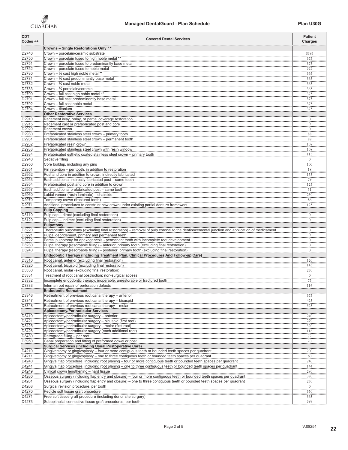

| <b>CDT</b><br>Codes ++                    | <b>Covered Dental Services</b>                                                                                                                                                                                                               | <b>Patient</b><br><b>Charges</b>     |
|-------------------------------------------|----------------------------------------------------------------------------------------------------------------------------------------------------------------------------------------------------------------------------------------------|--------------------------------------|
|                                           | Crowns - Single Restorations Only ^^                                                                                                                                                                                                         |                                      |
| D2740<br>D2750                            | Crown - porcelain/ceramic substrate<br>Crown - porcelain fused to high noble metal **                                                                                                                                                        | \$395                                |
| D2751                                     | Crown - porcelain fused to predominantly base metal                                                                                                                                                                                          | $\frac{375}{375}$                    |
| D2752<br>D2780                            | Crown - porcelain fused to noble metal                                                                                                                                                                                                       | $rac{375}{375}$<br>$rac{365}{365}$   |
| D2781                                     | Crown $ \frac{3}{4}$ cast high noble metal *<br>Crown $ \frac{3}{4}$ cast predominantly base metal                                                                                                                                           | 365                                  |
| D2782                                     | Crown $ \frac{3}{4}$ cast noble metal                                                                                                                                                                                                        | <br>365<br>                          |
| D2783                                     | Crown $ \frac{3}{4}$ porcelain/ceramic                                                                                                                                                                                                       | 365<br>                              |
| D2790<br>D2791                            | Crown - full cast predominantly base metal                                                                                                                                                                                                   | 375<br>,,,,,,,,,<br>375              |
| D2792                                     | Crown – full cast noble metal                                                                                                                                                                                                                | <br>375                              |
| D2794                                     | Crown - titanium                                                                                                                                                                                                                             | 375                                  |
|                                           | Other Restorative Services                                                                                                                                                                                                                   |                                      |
| D2910<br>D2915                            | Recement inlay, onlay, or partial coverage restoration<br>Recement cast or prefabricated post and core                                                                                                                                       | $\frac{0}{0}$                        |
| D2920                                     | Recement crown                                                                                                                                                                                                                               | $\frac{1}{0}$                        |
| D2930                                     | Prefabricated stainless steel crown - primary tooth                                                                                                                                                                                          | $\frac{1}{88}$                       |
| D2931<br>D2932                            | Prefabricated stainless steel crown - permanent tooth<br>Prefabricated resin crown                                                                                                                                                           | 88<br>108                            |
| D2933                                     | Prefabricated stainless steel crown with resin window                                                                                                                                                                                        | <br>108                              |
| D2934                                     | Prefabricated esthetic coated stainless steel crown - primary tooth                                                                                                                                                                          | 115                                  |
| D2940<br>D2950                            | Sedative filling<br>,,,,,,,,,,,,,,,,,,,,,,,                                                                                                                                                                                                  | $\overline{0}$<br><br>100            |
|                                           | Core buildup, including any pins<br>Pin retention - per tooth, in addition to restoration                                                                                                                                                    | $\frac{18}{2}$                       |
| D2951<br>D2952<br>D2953                   | Post and core in addition to crown, indirectly fabricated                                                                                                                                                                                    | 155                                  |
| D2954                                     | Each additional indirectly fabricated post - same tooth                                                                                                                                                                                      | $\frac{79}{125}$<br>$\frac{125}{51}$ |
|                                           | Prefabricated post and core in addition to crown<br>Each additional prefabricated post - same tooth                                                                                                                                          |                                      |
| D23334<br>D2957<br>D2960                  | Labial veneer (resin laminate) – chairside                                                                                                                                                                                                   | $\frac{1}{250}$                      |
| D2970                                     | Temporary crown (fractured tooth)                                                                                                                                                                                                            | $rac{1}{86}$                         |
| D2971                                     | Additional procedures to construct new crown under existing partial denture framework<br><b>Pulp Capping</b>                                                                                                                                 | 125                                  |
| D3110                                     | Pulp cap - direct (excluding final restoration)                                                                                                                                                                                              | $\bf{0}$                             |
| D3120                                     | Pulp cap - indirect (excluding final restoration)                                                                                                                                                                                            | <br>$\mathbf{0}$                     |
| D3220                                     | Pulpotomy<br>Therapeutic pulpotomy (excluding final restoration) - removal of pulp coronal to the dentinocemental junction and application of medicament                                                                                     |                                      |
|                                           | Pulpal debridement, primary and permanent teeth                                                                                                                                                                                              | $\frac{0}{2}$<br>$\mathbf{0}$        |
|                                           |                                                                                                                                                                                                                                              | m<br>$\bf{0}$                        |
| D3221<br>D3222<br>D3230<br>D3230<br>D3240 | Partial pulpotomy for apexogenesis - permanent tooth with incomplete root development<br>Pulpal therapy (resortable filling) - anterior, primary tooth (excluding final restoration)                                                         | $\frac{0}{0}$                        |
|                                           | Pulpal therapy (resorbable filling) - posterior, primary tooth (excluding final restoration)<br>Endodontic Therapy (Including Treatment Plan, Clinical Procedures And Follow-up Care)                                                        |                                      |
| D3310                                     | Root canal, anterior (excluding final restoration)                                                                                                                                                                                           | $\frac{120}{2}$                      |
| D3320                                     | Root canal, bicuspid (excluding final restoration)                                                                                                                                                                                           | 145                                  |
| D3330<br>D3331                            | Root canal, molar (excluding final restoration)<br>Treatment of root canal obstruction; non-surgical access                                                                                                                                  | 270<br>$\bf{0}$                      |
| D3332                                     | Incomplete endodontic therapy; inoperable, unrestorable or fractured tooth                                                                                                                                                                   | $\frac{75}{75}$                      |
| D3333                                     | Internal root repair of perforation defects                                                                                                                                                                                                  | 116                                  |
|                                           | <b>Endodontic Retreatment</b><br>Retreatment of previous root canal therapy - anterior                                                                                                                                                       |                                      |
| D3346<br>D3347                            | Retreatment of previous root canal therapy - bicuspid                                                                                                                                                                                        | 375<br>425                           |
| D3348                                     | Retreatment of previous root canal therapy - molar                                                                                                                                                                                           | 525                                  |
|                                           | <b>Apicoectomy/Periradicular Services</b>                                                                                                                                                                                                    | $\frac{1}{240}$                      |
| D3410<br>D3421                            | Apicoectomy/periradicular surgery - anterior<br>Apicoectomy/periradicular surgery - bicuspid (first root)                                                                                                                                    | $\frac{1}{270}$                      |
| D3425                                     | Apicoectomy/periradicular surgery - molar (first root)                                                                                                                                                                                       | 320                                  |
| D3426                                     | Apicoectomy/periradicular surgery (each additional root)                                                                                                                                                                                     | 116                                  |
| D3430<br>D3950                            | Retrograde filling - per root<br>Canal preparation and fitting of preformed dowel or post                                                                                                                                                    | 22                                   |
|                                           | <b>Surgical Services (Including Usual Postoperative Care)</b>                                                                                                                                                                                | .20                                  |
| D4210                                     | Gingivectomy or gingivoplasty – four or more contiguous teeth or bounded teeth spaces per quadrant                                                                                                                                           | ,,,,,,,<br>200                       |
| D4211                                     | Gingivectomy or gingivoplasty – one to three contiguous teeth or bounded teeth spaces per quadrant                                                                                                                                           | $-60$                                |
| D <sub>4240</sub><br>D <sub>4241</sub>    | Gingival flap procedure, including root planing - four or more contiguous teeth or bounded teeth spaces per quadrant<br>Gingival flap procedure, including root planing - one to three contiguous teeth or bounded teeth spaces per quadrant | 240<br>144                           |
| $D = 4249$<br>$D = 4260$                  | Clinical crown lengthening - hard tissue                                                                                                                                                                                                     | mini i                               |
|                                           | Osseous surgery (including flap entry and closure) - four or more contiguous teeth or bounded teeth spaces per quadrant                                                                                                                      | $\frac{280}{380}$                    |
| D4261<br>D4268                            | Osseous surgery (including flap entry and closure) – one to three contiguous teeth or bounded teeth spaces per quadrant                                                                                                                      | $\frac{1}{230}$<br>$\frac{50}{0}$    |
| D4270                                     | Surgical revision procedure, per tooth<br>Pedicle soft tissue graft procedure                                                                                                                                                                | 350                                  |
| D4271                                     | Free soft tissue graft procedure (including donor site surgery)                                                                                                                                                                              | 363                                  |
| D4273                                     | Subepithelial connective tissue graft procedures, per tooth                                                                                                                                                                                  | 399                                  |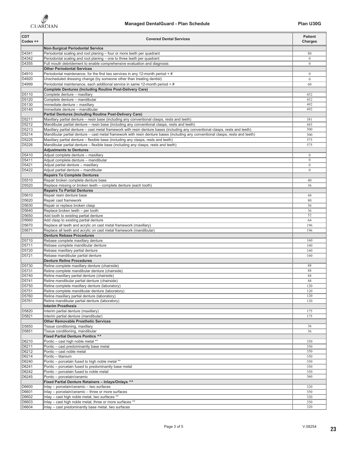

| <b>CDT</b><br>Codes ++<br>. | <b>Covered Dental Services</b>                                                                                                                                                                                                 | <b>Patient</b><br><b>Charges</b>   |
|-----------------------------|--------------------------------------------------------------------------------------------------------------------------------------------------------------------------------------------------------------------------------|------------------------------------|
| D4341                       | <b>Non-Surgical Periodontal Service</b><br>Periodontal scaling and root planing - four or more teeth per quadrant                                                                                                              | \$0                                |
| D4342                       | Periodontal scaling and root planing - one to three teeth per quadrant                                                                                                                                                         | $\boldsymbol{0}$                   |
| D4355                       | Full mouth debridement to enable comprehensive evaluation and diagnosis                                                                                                                                                        | $\mathbf{0}$                       |
| D4910                       | <b>Other Periodontal Services</b><br>Periodontal maintenance, for the first two services in any 12-month period $+#$                                                                                                           | $\bf{0}$                           |
| D4920<br>                   | Unscheduled dressing change (by someone other than treating dentist)                                                                                                                                                           | $\mathbf{0}$                       |
| D4999                       | Discription of the same stranger by Source to State Marie Search Annual Contract of the Period of the Period of the Period of the Mercury of Period of the Mercury of the Mercury of the Mercury of the Mercury of the Mercury | $\frac{60}{2}$                     |
| D5110                       | <b>Complete Dentures (Including Routine Post-Delivery Care)</b><br>Complete denture - maxillary                                                                                                                                | .452                               |
| D5120                       | Complete denture - mandibular                                                                                                                                                                                                  | 452                                |
| D5130<br>D5140              | Immediate denture - maxillary<br>Immediate denture - mandibular                                                                                                                                                                | $-492$<br>492                      |
|                             | Partial Dentures (Including Routine Post-Delivery Care)                                                                                                                                                                        | ,,,,,,,,,                          |
| D5211<br>D5212              | Maxillary partial denture - resin base (including any conventional clasps, rests and teeth)                                                                                                                                    | 381                                |
| D5213                       | Mandibular partial denture – resin base (including any conventional clasps, rests and teeth)<br>Maxillary partial denture – cast metal framework with resin denture bases (including any conventional clasps, rests and teeth) | 443<br><br>500                     |
| D5214                       | Mandibular partial denture - cast metal framework with resin denture bases (including any conventional clasps, rests and teeth)                                                                                                | 500<br>,,,,,,,,                    |
| D5225                       | Maxillary partial denture - flexible base (including any clasps, rests and teeth)                                                                                                                                              | 575                                |
| D5226                       | Mandibular partial denture - flexible base (including any clasps, rests and teeth)<br><b>Adjustments to Dentures</b>                                                                                                           | 575                                |
| D5410                       | Adjust complete denture - maxillary                                                                                                                                                                                            | $\mathbf{0}$                       |
| D5411<br>D5421              | Adjust complete denture - mandibular<br>Adjust partial denture - maxillary                                                                                                                                                     | $\mathbf{0}$<br>$\frac{1}{0}$      |
| D5422                       | Adjust partial denture - mandibular                                                                                                                                                                                            | $\frac{1}{0}$                      |
|                             | <b>Repairs To Complete Dentures</b>                                                                                                                                                                                            |                                    |
| D5510<br>D5520              | Repair broken complete denture base<br>Replace missing or broken teeth - complete denture (each tooth)                                                                                                                         | 40<br><br>36                       |
|                             | <b>Repairs To Partial Dentures</b>                                                                                                                                                                                             |                                    |
| <br>D5610                   | Repair resin denture base                                                                                                                                                                                                      | 44                                 |
| D5620                       | Repair cast framework                                                                                                                                                                                                          | .80                                |
| D5630                       | Repair or replace broken clasp                                                                                                                                                                                                 | .56<br>36                          |
| D5640<br>D5650              | Replace broken teeth - per tooth<br>Add tooth to existing partial denture                                                                                                                                                      | $\frac{52}{52}$                    |
| D5660<br>D5670              | Add clasp to existing partial denture<br>Replace all teeth and acrylic on cast metal framework (maxillary)                                                                                                                     | 64<br><br>196                      |
| D5671<br>,,,,,,,,,,,        | Replace all teeth and acrylic on cast metal framework (mandibular)                                                                                                                                                             | <br>196<br>,,,,,,,,,,              |
|                             | <b>Denture Rebase Procedures</b>                                                                                                                                                                                               |                                    |
| D5710<br>D5711              | Rebase complete maxillary denture<br>Rebase complete mandibular denture                                                                                                                                                        | 160<br>160                         |
| D5720<br>D5720<br>D5721     | Rebase maxillary partial denture<br>Rebase mandibular partial denture                                                                                                                                                          | 160                                |
|                             | <b>Denture Reline Procedures</b>                                                                                                                                                                                               | 160                                |
| D5730                       | Reline complete maxillary denture (chairside)                                                                                                                                                                                  | 88                                 |
| D5731                       | Reline complete mandibular denture (chairside)                                                                                                                                                                                 | 88                                 |
| D5740<br>D5741              | Reline maxillary partial denture (chairside)<br>Reline mandibular partial denture (chairside)                                                                                                                                  | 88<br><br>88                       |
| D5750                       | Reline complete maxillary denture (laboratory)                                                                                                                                                                                 | <br>120                            |
| D5751                       | Reline complete mandibular denture (laboratory)                                                                                                                                                                                | 120                                |
| D5760<br>D5761              | Reline maxillary partial denture (laboratory)<br>Reline mandibular partial denture (laboratory)                                                                                                                                | 120<br>,,,,,,,,<br>120             |
|                             | <b>Interim Prosthesis</b>                                                                                                                                                                                                      |                                    |
| D5820<br>D5821              | Interim partial denture (maxillary)                                                                                                                                                                                            | $\frac{175}{11}$                   |
|                             | Interim partial denture (mandibular)<br><b>Other Removable Prosthetic Services</b>                                                                                                                                             | 175                                |
| D5850                       | Tissue conditioning, maxillary                                                                                                                                                                                                 | 36                                 |
| D5851                       | Tissue conditioning, mandibular<br><b>Fixed Partial Denture Pontics ^^</b>                                                                                                                                                     | $\frac{36}{36}$                    |
| <br>D6210                   | Pontic - cast high noble metal **                                                                                                                                                                                              | 350                                |
| D6211                       | Pontic - cast predominantly base metal                                                                                                                                                                                         | 350                                |
| D6212<br>D6214              | Pontic - cast noble metal<br>Pontic - titanium                                                                                                                                                                                 | $\frac{350}{250}$<br>350           |
| D6240                       | Pontic – porcelain fused to high noble metal                                                                                                                                                                                   | ,,,,,,,,<br>350                    |
| D6241                       | Pontic – porcelain fused to predominantly base metal                                                                                                                                                                           | <br>350                            |
| D6242<br>D6245              | Pontic - porcelain fused to noble metal<br>Pontic - porcelain/ceramic                                                                                                                                                          | 350<br>360                         |
| ,,,,,,,,,,,,                | Fixed Partial Denture Retainers - Inlays/Onlays ^^                                                                                                                                                                             |                                    |
| D6600                       | Inlay – porcelain/ceramic – two surfaces                                                                                                                                                                                       | 320                                |
| D6601<br>D6602              | Inlay - porcelain/ceramic - three or more surfaces<br>Inlay – cast high noble metal, two surfaces **                                                                                                                           | $\frac{1}{350}$<br>$\frac{1}{320}$ |
| D6603                       | Inlay – cast high noble metal, three or more surfaces *                                                                                                                                                                        | 350<br>                            |
| D6604                       | Inlay – cast predominantly base metal, two surfaces                                                                                                                                                                            | 320                                |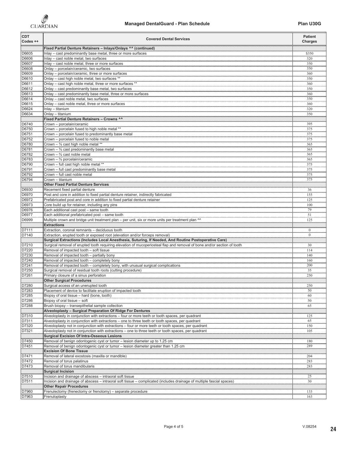

| <b>CDT</b><br>Codes ++<br>. | <b>Covered Dental Services</b>                                                                                                                                                                                                       | <b>Patient</b><br><b>Charges</b>   |
|-----------------------------|--------------------------------------------------------------------------------------------------------------------------------------------------------------------------------------------------------------------------------------|------------------------------------|
|                             | Fixed Partial Denture Retainers - Inlays/Onlays ^^ (continued)                                                                                                                                                                       |                                    |
| D6605                       | Inlay - cast predominantly base metal, three or more surfaces                                                                                                                                                                        | \$350<br>320                       |
| D6606<br>D6607              | Inlay - cast noble metal, two surfaces<br>Inlay - cast noble metal, three or more surfaces                                                                                                                                           | 350                                |
| D6608                       | Onlay - porcelain/ceramic, two surfaces                                                                                                                                                                                              | 350                                |
| D6609                       | Onlay - porcelain/ceramic, three or more surfaces                                                                                                                                                                                    | $rac{360}{360}$                    |
| D6610                       | Onlay - cast high noble metal, two surfaces **                                                                                                                                                                                       | 350                                |
| D6611<br>D6612              | Onlay - cast high noble metal, three or more surfaces<br>Onlay - cast predominantly base metal, two surfaces                                                                                                                         | 360<br><br>350                     |
| D6613                       | Onlay - cast predominantly base metal, three or more surfaces                                                                                                                                                                        | 360                                |
| D6614                       | Onlay - cast noble metal, two surfaces                                                                                                                                                                                               | <br>350<br>                        |
| D6615                       | Onlay - cast noble metal, three or more surfaces                                                                                                                                                                                     | .360                               |
| D6624                       | Inlay - titanium                                                                                                                                                                                                                     | 320                                |
|                             | Onlay - titanium<br>Fixed Partial Denture Retainers - Crowns ^^                                                                                                                                                                      | 350<br>                            |
| D6740                       | Crown - porcelain/ceramic                                                                                                                                                                                                            | 395                                |
| D6750                       | Crown - porcelain fused to high noble metal **                                                                                                                                                                                       | $rac{375}{375}$                    |
| D6751                       | Crown - porcelain fused to predominantly base metal                                                                                                                                                                                  | $\frac{375}{375}$                  |
| D6752                       | Crown - porcelain fused to noble metal                                                                                                                                                                                               | .375                               |
| D6780<br>D6781              | Crown - 3/4 cast high noble metal **<br>Crown - 3/4 cast predominantly base metal                                                                                                                                                    | 365                                |
| D6782                       | Crown $ \frac{3}{4}$ cast noble metal                                                                                                                                                                                                | 365<br>365                         |
| D6783                       | Crown $ \frac{3}{4}$ porcelain/ceramic                                                                                                                                                                                               | 365                                |
| D6790                       | Crown - full cast high noble metal **                                                                                                                                                                                                | 375                                |
| D6791                       | Crown - full cast predominantly base metal                                                                                                                                                                                           | 375                                |
| D6792<br>D6794              | Crown - full cast noble metal<br>Crown - titanium                                                                                                                                                                                    | 375<br>375                         |
|                             | <b>Other Fixed Partial Denture Services</b>                                                                                                                                                                                          |                                    |
| D6930                       | Recement fixed partial denture                                                                                                                                                                                                       | 36                                 |
| D6970                       | Post and core in addition to fixed partial denture retainer, indirectly fabricated                                                                                                                                                   | 155                                |
| D6972                       | Prefabricated post and core in addition to fixed partial denture retainer                                                                                                                                                            | 125                                |
| D6973<br>D6976              | Core build up for retainer, including any pins<br>Each additional cast post - same tooth                                                                                                                                             | 100<br><br>79                      |
| D6977                       | Each additional prefabricated post - same tooth                                                                                                                                                                                      | <br>51                             |
| D6999                       |                                                                                                                                                                                                                                      | 125<br>,,,,,,,,,                   |
|                             | <b>Extractions</b>                                                                                                                                                                                                                   |                                    |
| D7111                       | Extraction, coronal remnants - deciduous tooth                                                                                                                                                                                       | $\theta$<br>$\overline{0}$         |
| D7140                       | Extraction, erupted tooth or exposed root (elevation and/or forceps removal)<br>Surgical Extractions (includes Local Anesthesia, Suturing, If Needed, And Routine Postoperative Care)<br>Surgical removal of erupted tooth requiring |                                    |
| D7210                       |                                                                                                                                                                                                                                      |                                    |
| D7220                       | Removal of impacted tooth - soft tissue                                                                                                                                                                                              | $\frac{30}{114}$                   |
| D7230                       | Removal of impacted tooth - partially bony<br>Removal of impacted tooth - completely bony                                                                                                                                            | $\frac{1}{140}$<br>$\frac{1}{160}$ |
| D7240<br>D7241              | Removal of impacted tooth - completely bony, with unusual surgical complications                                                                                                                                                     | <br>200                            |
| D7250                       | Surgical removal of residual tooth roots (cutting procedure)                                                                                                                                                                         | <br>35                             |
| D7261                       | Primary closure of a sinus perforation                                                                                                                                                                                               | 250                                |
|                             | <b>Other Surgical Procedures</b>                                                                                                                                                                                                     |                                    |
| D7280                       | Surgical access of an unerupted tooth                                                                                                                                                                                                | 250                                |
| D7283<br>D7285              | Placement of device to facilitate eruption of impacted tooth<br>Biopsy of oral tissue - hard (bone, tooth)                                                                                                                           | 50                                 |
| D7286                       | Biopsy of oral tissue - soft                                                                                                                                                                                                         | .60<br>50                          |
| D7288                       | Brush biopsy - transepithelial sample collection                                                                                                                                                                                     | $\underline{65}$                   |
|                             | Alveoloplasty - Surgical Preparation Of Ridge For Dentures                                                                                                                                                                           |                                    |
| D7310                       | Alveoloplasty in conjunction with extractions - four or more teeth or tooth spaces, per quadrant                                                                                                                                     | 125                                |
| D7311<br>D7320              | Alveoloplasty in conjunction with extractions – one to three teeth or tooth spaces, per quadrant<br>Alveoloplasty not in conjunction with extractions – four or more teeth or tooth spaces, per quadrant                             | 65<br>150                          |
| D7321                       | Alveoloplasty not in conjunction with extractions - one to three teeth or tooth spaces, per quadrant                                                                                                                                 | 105                                |
|                             | <b>Surgical Excision Of Intra-Osseous Lesions</b>                                                                                                                                                                                    |                                    |
| D7450                       | Removal of benign odontogenic cyst or tumor - lesion diameter up to 1.25 cm                                                                                                                                                          | 180                                |
| D7451                       | Removal of benign odontogenic cyst or tumor - lesion diameter greater than 1.25 cm                                                                                                                                                   | 289                                |
|                             | <b>Excision Of Bone Tissue</b><br>Removal of lateral exostosis (maxilla or mandible)                                                                                                                                                 |                                    |
| D7471<br>D7472              | Removal of torus palatinus                                                                                                                                                                                                           | .204<br>283                        |
| D7473                       | Removal of torus mandibularis                                                                                                                                                                                                        | .283                               |
|                             | <b>Surgical Incision</b>                                                                                                                                                                                                             |                                    |
| D7510                       | Incision and drainage of abscess - intraoral soft tissue                                                                                                                                                                             | $^{25}$                            |
| D7511                       | Incision and drainage of abscess – intraoral soft tissue – complicated (includes drainage of multiple fascial spaces)<br><b>Other Repair Procedures</b>                                                                              | 30<br>                             |
| D7960                       | Frenulectomy (frenectomy or frenotomy) - separate procedure                                                                                                                                                                          | 133                                |
| D7963                       | Frenuloplasty                                                                                                                                                                                                                        | 163                                |
|                             |                                                                                                                                                                                                                                      |                                    |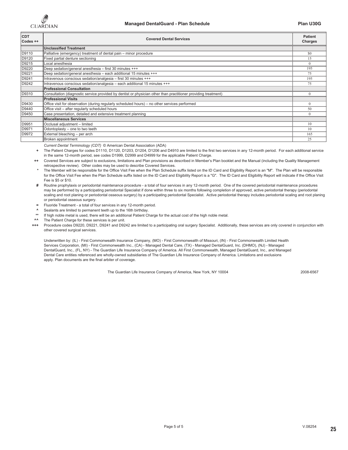

| <b>CDT</b><br>Codes ++ | <b>Covered Dental Services</b>                                                                                 | <b>Patient</b><br><b>Charges</b> |
|------------------------|----------------------------------------------------------------------------------------------------------------|----------------------------------|
|                        | <b>Unclassified Treatment</b>                                                                                  |                                  |
| D9110                  | Palliative (emergency) treatment of dental pain - minor procedure                                              |                                  |
| D9120                  | Fixed partial denture sectioning                                                                               |                                  |
| D9215                  | Local anesthesia                                                                                               |                                  |
| D9220                  | Deep sedation/general anesthesia - first 30 minutes +++                                                        | 195                              |
| D9221                  | Deep sedation/general anesthesia - each additional 15 minutes +++                                              | 75                               |
| D9241                  | Intravenous conscious sedation/analgesia - first 30 minutes +++                                                |                                  |
| D9242                  | Intravenous conscious sedation/analgesia - each additional 15 minutes +++                                      |                                  |
|                        | <b>Professional Consultation</b>                                                                               |                                  |
| D9310                  | Consultation (diagnostic service provided by dentist or physician other than practitioner providing treatment) |                                  |
|                        | <b>Professional Visits</b>                                                                                     |                                  |
| D9430                  | Office visit for observation (during regularly scheduled hours) - no other services performed                  |                                  |
| D9440                  | Office visit - after regularly scheduled hours                                                                 |                                  |
| D9450                  | Case presentation, detailed and extensive treatment planning                                                   |                                  |
|                        | <b>Miscellaneous Services</b>                                                                                  |                                  |
| D9951                  | Occlusal adjustment - limited                                                                                  |                                  |
| D9971                  | Odontoplasty - one to two teeth                                                                                |                                  |
| D9972                  | External bleaching - per arch                                                                                  | 65                               |
|                        | Broken appointment                                                                                             | 25                               |

*Current Dental Terminology (CDT)* © American Dental Association (ADA)

**+** The Patient Charges for codes D1110, D1120, D1203, D1204, D1206 and D4910 are limited to the first two services in any 12-month period. For each additional service in the same 12-month period, see codes D1999, D2999 and D4999 for the applicable Patient Charge.

**++** Covered Services are subject to exclusions, limitations and Plan provisions as described in Member's Plan booklet and the Manual (including the Quality Management retrospective review). Other codes may be used to describe Covered Services.

**\*** The Member will be responsible for the Office Visit Fee when the Plan Schedule suffix listed on the ID Card and Eligibility Report is an "M". The Plan will be responsible for the Office Visit Fee when the Plan Schedule suffix listed on the ID Card and Eligibility Report is a "G". The ID Card and Eligibility Report will indicate if the Office Visit Fee is \$5 or \$10.

**#** Routine prophylaxis or periodontal maintenance procedure - a total of four services in any 12-month period. One of the covered periodontal maintenance procedures may be performed by a participating periodontal Specialist if done within three to six months following completion of approved, active periodontal therapy (periodontal scaling and root planing or periodontal osseous surgery) by a participating periodontal Specialist. Active periodontal therapy includes periodontal scaling and root planing or periodontal osseous surgery.

**=** Fluoride Treatment - a total of four services in any 12-month period.

**^** Sealants are limited to permanent teeth up to the 16th birthday.

**\*\*** If high noble metal is used, there will be an additional Patient Charge for the actual cost of the high noble metal.

**^^** The Patient Charge for these services is per unit.

**+++** Procedure codes D9220, D9221, D9241 and D9242 are limited to a participating oral surgery Specialist. Additionally, these services are only covered in conjunction with other covered surgical services.

Underwritten by: (IL) - First Commonwealth Insurance Company, (MO) - First Commonwealth of Missouri, (IN) - First Commonwealth Limited Health Services Corporation, (MI) - First Commonwealth Inc., (CA) - Managed Dental Care, (TX) - Managed DentalGuard, Inc. (DHMO), (NJ) - Managed DentalGuard, Inc., (FL, NY) - The Guardian Life Insurance Company of America. All First Commonwealth, Managed DentalGuard, Inc., and Managed Dental Care entities referenced are wholly-owned subsidiaries of The Guardian Life Insurance Company of America. Limitations and exclusions apply. Plan documents are the final arbiter of coverage.

The Guardian Life Insurance Company of America, New York, NY 10004 2008-6567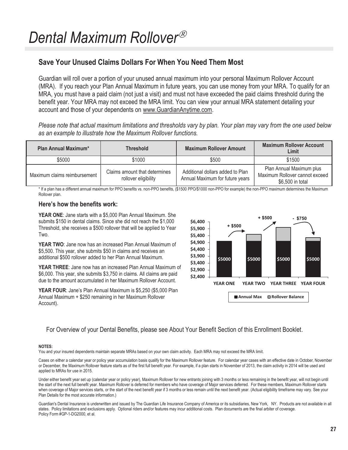## **Save Your Unused Claims Dollars For When You Need Them Most**

Guardian will roll over a portion of your unused annual maximum into your personal Maximum Rollover Account (MRA). If you reach your Plan Annual Maximum in future years, you can use money from your MRA. To qualify for an MRA, you must have a paid claim (not just a visit) and must not have exceeded the paid claims threshold during the benefit year. Your MRA may not exceed the MRA limit. You can view your annual MRA statement detailing your account and those of your dependents on www.GuardianAnytime.com.

*Please note that actual maximum limitations and thresholds vary by plan. Your plan may vary from the one used below as an example to illustrate how the Maximum Rollover functions.*

| Plan Annual Maximum*         | <b>Threshold</b>                                      | <b>Maximum Rollover Amount</b>                                      | <b>Maximum Rollover Account</b><br>Limit                                       |
|------------------------------|-------------------------------------------------------|---------------------------------------------------------------------|--------------------------------------------------------------------------------|
| \$5000                       | \$1000                                                | \$500                                                               | \$1500                                                                         |
| Maximum claims reimbursement | Claims amount that determines<br>rollover eligibility | Additional dollars added to Plan<br>Annual Maximum for future years | Plan Annual Maximum plus<br>Maximum Rollover cannot exceed<br>\$6,500 in total |

\* If a plan has a different annual maximum for PPO benefits vs. non-PPO benefits, (\$1500 PPO/\$1000 non-PPO for example) the non-PPO maximum determines the Maximum Rollover plan.

### **Heres how the benefits work:**

**YEAR ONE**: Jane starts with a \$5,000 Plan Annual Maximum. She submits \$150 in dental claims. Since she did not reach the \$1,000 Threshold, she receives a \$500 rollover that will be applied to Year Two.

**YEAR TWO**: Jane now has an increased Plan Annual Maximum of \$5,500. This year, she submits \$50 in claims and receives an additional \$500 rollover added to her Plan Annual Maximum.

**YEAR THREE**: Jane now has an increased Plan Annual Maximum of \$6,000. This year, she submits \$3,750 in claims. All claims are paid due to the amount accumulated in her Maximum Rollover Account.

**YEAR FOUR:** Jane's Plan Annual Maximum is \$5,250 (\$5,000 Plan Annual Maximum + \$250 remaining in her Maximum Rollover Account).



For Overview of your Dental Benefits, please see About Your Benefit Section of this Enrollment Booklet.

#### **NOTES:**

You and your insured dependents maintain separate MRAs based on your own claim activity. Each MRA may not exceed the MRA limit.

Cases on either a calendar year or policy year accumulation basis qualify for the Maximum Rollover feature. For calendar year cases with an effective date in October, November or December, the Maximum Rollover feature starts as of the first full benefit year. For example, if a plan starts in November of 2013, the claim activity in 2014 will be used and applied to MRAs for use in 2015.

Under either benefit year set up (calendar year or policy year), Maximum Rollover for new entrants joining with 3 months or less remaining in the benefit year, will not begin until the start of the next full benefit year. Maximum Rollover is deferred for members who have coverage of Major services deferred. For these members, Maximum Rollover starts when coverage of Major services starts, or the start of the next benefit year if 3 months or less remain until the next benefit year. (Actual eligibility timeframe may vary. See your Plan Details for the most accurate information.)

Guardian's Dental Insurance is underwritten and issued by The Guardian Life Insurance Company of America or its subsidiaries, New York, NY. Products are not available in all states. Policy limitations and exclusions apply. Optional riders and/or features may incur additional costs. Plan documents are the final arbiter of coverage. Policy Form #GP-1-DG2000, et al.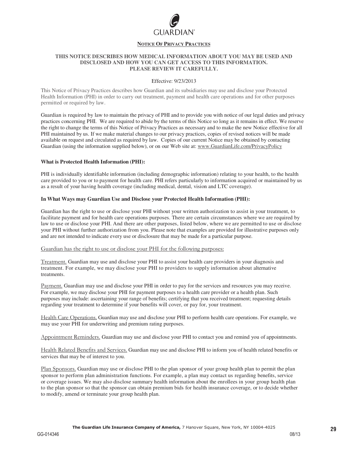

#### **NOTICE OF PRIVACY PRACTICES**

#### **THIS NOTICE DESCRIBES HOW MEDICAL INFORMATION ABOUT YOU MAY BE USED AND DISCLOSED AND HOW YOU CAN GET ACCESS TO THIS INFORMATION. PLEASE REVIEW IT CAREFULLY.**

#### Effective: 9/23/2013

This Notice of Privacy Practices describes how Guardian and its subsidiaries may use and disclose your Protected Health Information (PHI) in order to carry out treatment, payment and health care operations and for other purposes permitted or required by law.

Guardian is required by law to maintain the privacy of PHI and to provide you with notice of our legal duties and privacy practices concerning PHI. We are required to abide by the terms of this Notice so long as it remains in effect. We reserve the right to change the terms of this Notice of Privacy Practices as necessary and to make the new Notice effective for all PHI maintained by us. If we make material changes to our privacy practices, copies of revised notices will be made available on request and circulated as required by law. Copies of our current Notice may be obtained by contacting Guardian (using the information supplied below), or on our Web site at: www.GuardianLife.com/PrivacyPolicy

#### **What is Protected Health Information (PHI):**

PHI is individually identifiable information (including demographic information) relating to your health, to the health care provided to you or to payment for health care. PHI refers particularly to information acquired or maintained by us as a result of your having health coverage (including medical, dental, vision and LTC coverage).

#### **In What Ways may Guardian Use and Disclose your Protected Health Information (PHI):**

Guardian has the right to use or disclose your PHI without your written authorization to assist in your treatment, to facilitate payment and for health care operations purposes. There are certain circumstances where we are required by law to use or disclose your PHI. And there are other purposes, listed below, where we are permitted to use or disclose your PHI without further authorization from you. Please note that examples are provided for illustrative purposes only and are not intended to indicate every use or disclosure that may be made for a particular purpose.

#### Guardian has the right to use or disclose your PHI for the following purposes:

Treatment. Guardian may use and disclose your PHI to assist your health care providers in your diagnosis and treatment. For example, we may disclose your PHI to providers to supply information about alternative treatments.

Payment. Guardian may use and disclose your PHI in order to pay for the services and resources you may receive. For example, we may disclose your PHI for payment purposes to a health care provider or a health plan. Such purposes may include: ascertaining your range of benefits; certifying that you received treatment; requesting details regarding your treatment to determine if your benefits will cover, or pay for, your treatment.

Health Care Operations. Guardian may use and disclose your PHI to perform health care operations. For example, we may use your PHI for underwriting and premium rating purposes.

Appointment Reminders. Guardian may use and disclose your PHI to contact you and remind you of appointments.

Health Related Benefits and Services. Guardian may use and disclose PHI to inform you of health related benefits or services that may be of interest to you.

Plan Sponsors. Guardian may use or disclose PHI to the plan sponsor of your group health plan to permit the plan sponsor to perform plan administration functions. For example, a plan may contact us regarding benefits, service or coverage issues. We may also disclose summary health information about the enrollees in your group health plan to the plan sponsor so that the sponsor can obtain premium bids for health insurance coverage, or to decide whether to modify, amend or terminate your group health plan.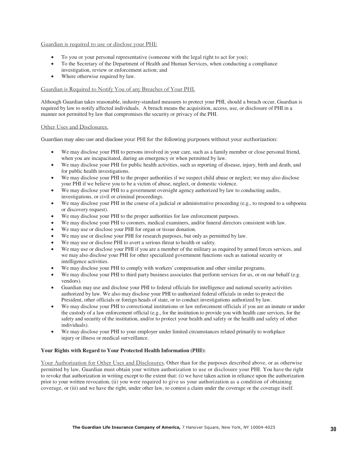#### Guardian is required to use or disclose your PHI:

- To you or your personal representative (someone with the legal right to act for you);
- To the Secretary of the Department of Health and Human Services, when conducting a compliance investigation, review or enforcement action; and
- Where otherwise required by law.

#### Guardian is Required to Notify You of any Breaches of Your PHI.

Although Guardian takes reasonable, industry-standard measures to protect your PHI, should a breach occur, Guardian is required by law to notify affected individuals. A breach means the acquisition, access, use, or disclosure of PHI in a manner not permitted by law that compromises the security or privacy of the PHI.

#### Other Uses and Disclosures.

Guardian may also use and disclose your PHI for the following purposes without your authorization:

- We may disclose your PHI to persons involved in your care, such as a family member or close personal friend, when you are incapacitated, during an emergency or when permitted by law.
- We may disclose your PHI for public health activities, such as reporting of disease, injury, birth and death, and for public health investigations.
- We may disclose your PHI to the proper authorities if we suspect child abuse or neglect; we may also disclose your PHI if we believe you to be a victim of abuse, neglect, or domestic violence.
- We may disclose your PHI to a government oversight agency authorized by law to conducting audits, investigations, or civil or criminal proceedings.
- We may disclose your PHI in the course of a judicial or administrative proceeding (e.g., to respond to a subpoena or discovery request).
- We may disclose your PHI to the proper authorities for law enforcement purposes.
- We may disclose your PHI to coroners, medical examiners, and/or funeral directors consistent with law.
- We may use or disclose your PHI for organ or tissue donation.
- We may use or disclose your PHI for research purposes, but only as permitted by law.
- We may use or disclose PHI to avert a serious threat to health or safety.
- We may use or disclose your PHI if you are a member of the military as required by armed forces services, and we may also disclose your PHI for other specialized government functions such as national security or intelligence activities.
- We may disclose your PHI to comply with workers' compensation and other similar programs.
- We may disclose your PHI to third party business associates that perform services for us, or on our behalf (e.g. vendors).
- Guardian may use and disclose your PHI to federal officials for intelligence and national security activities authorized by law. We also may disclose your PHI to authorized federal officials in order to protect the President, other officials or foreign heads of state, or to conduct investigations authorized by law.
- We may disclose your PHI to correctional institutions or law enforcement officials if you are an inmate or under the custody of a law enforcement official (e.g., for the institution to provide you with health care services, for the safety and security of the institution, and/or to protect your health and safety or the health and safety of other individuals).
- We may disclose your PHI to your employer under limited circumstances related primarily to workplace injury or illness or medical surveillance.

#### **Your Rights with Regard to Your Protected Health Information (PHI):**

Your Authorization for Other Uses and Disclosures. Other than for the purposes described above, or as otherwise permitted by law, Guardian must obtain your written authorization to use or disclosure your PHI. You have the right to revoke that authorization in writing except to the extent that: (i) we have taken action in reliance upon the authorization prior to your written revocation, (ii) you were required to give us your authorization as a condition of obtaining coverage, or (iii) and we have the right, under other law, to contest a claim under the coverage or the coverage itself.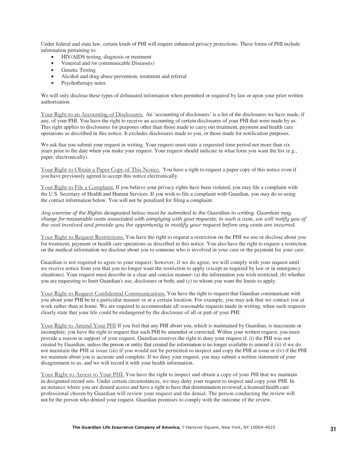Under federal and state law, certain kinds of PHI will require enhanced privacy protections. These forms of PHI include information pertaining to:

- HIV/AIDS testing, diagnosis or treatment
- Venereal and /or communicable Disease(s)
- Genetic Testing
- Alcohol and drug abuse prevention, treatment and referral
- Psychotherapy notes

We will only disclose these types of delineated information when permitted or required by law or upon your prior written authorization.

Your Right to an Accounting of Disclosures. An 'accounting of disclosures' is a list of the disclosures we have made, if any, of your PHI. You have the right to receive an accounting of certain disclosures of your PHI that were made by us. This right applies to disclosures for purposes other than those made to carry out treatment, payment and health care operations as described in this notice. It excludes disclosures made to you, or those made for notification purposes.

We ask that you submit your request in writing. Your request must state a requested time period not more than six years prior to the date when you make your request. Your request should indicate in what form you want the list (e.g., paper, electronically).

Your Right to Obtain a Paper Copy of This Notice. You have a right to request a paper copy of this notice even if you have previously agreed to accept this notice electronically.

Your Right to File a Complaint. If you believe your privacy rights have been violated, you may file a complaint with the U.S. Secretary of Health and Human Services. If you wish to file a complaint with Guardian, you may do so using the contact information below. You will not be penalized for filing a complaint.

Any exercise of the Rights designated below must be submitted to the Guardian in writing. Guardian may charge for reasonable costs associated with complying with your requests; in such a case, we will notify you of the cost involved and provide you the opportunity to modify your request before any costs are incurred.

Your Right to Request Restrictions. You have the right to request a restriction on the PHI we use or disclose about you for treatment, payment or health care operations as described in this notice. You also have the right to request a restriction on the medical information we disclose about you to someone who is involved in your care or the payment for your care.

Guardian is not required to agree to your request; however, if we do agree, we will comply with your request until we receive notice from you that you no longer want the restriction to apply (except as required by law or in emergency situations). Your request must describe in a clear and concise manner: (a) the information you wish restricted; (b) whether you are requesting to limit Guardian's use, disclosure or both; and (c) to whom you want the limits to apply.

Your Right to Request Confidential Communications. You have the right to request that Guardian communicate with you about your PHI be in a particular manner or at a certain location. For example, you may ask that we contact you at work rather than at home. We are required to accommodate all reasonable requests made in writing, when such requests clearly state that your life could be endangered by the disclosure of all or part of your PHI.

Your Right to Amend Your PHI If you feel that any PHI about you, which is maintained by Guardian, is inaccurate or incomplete, you have the right to request that such PHI be amended or corrected. Within your written request, you must provide a reason in support of your request. Guardian reserves the right to deny your request if: (i) the PHI was not created by Guardian, unless the person or entity that created the information is no longer available to amend it (ii) if we do not maintain the PHI at issue (iii) if you would not be permitted to inspect and copy the PHI at issue or (iv) if the PHI we maintain about you is accurate and complete. If we deny your request, you may submit a written statement of your disagreement to us, and we will record it with your health information.

Your Right to Access to Your PHI. You have the right to inspect and obtain a copy of your PHI that we maintain in designated record sets. Under certain circumstances, we may deny your request to inspect and copy your PHI. In an instance where you are denied access and have a right to have that determination reviewed, a licensed health care professional chosen by Guardian will review your request and the denial. The person conducting the review will not be the person who denied your request. Guardian promises to comply with the outcome of the review.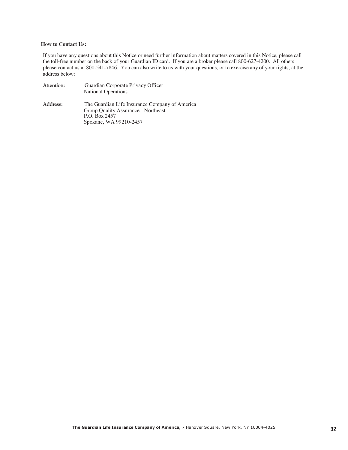#### **How to Contact Us:**

If you have any questions about this Notice or need further information about matters covered in this Notice, please call the toll-free number on the back of your Guardian ID card. If you are a broker please call 800-627-4200. All others please contact us at 800-541-7846. You can also write to us with your questions, or to exercise any of your rights, at the address below:

| Attention: | Guardian Corporate Privacy Officer<br><b>National Operations</b>                                       |
|------------|--------------------------------------------------------------------------------------------------------|
| Address:   | The Guardian Life Insurance Company of America<br>Group Quality Assurance - Northeast<br>P.O. Box 2457 |
|            | Spokane, WA 99210-2457                                                                                 |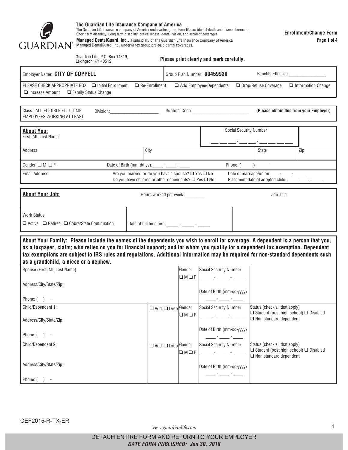

**The Guardian Life Insurance Company of America**<br>The Guardian Life Insurance company of America underwrites group term life, accidental death and dismemberment,<br>Short term disability, Long term disability, critical illness

**Managed DentalGuard, Inc.,** a subsidiary of The Guardian Life Insurance Company of America Managed DentalGuard, Inc., underwrites group pre-paid dental coverages.

|                                                                                                                                                                                                                                                                                                                                                                                                                                                   | Lexington, KY 40512          |                                                                                                                       |                                      | Please print clearly and mark carefully. |                                                                                     |                                                   |
|---------------------------------------------------------------------------------------------------------------------------------------------------------------------------------------------------------------------------------------------------------------------------------------------------------------------------------------------------------------------------------------------------------------------------------------------------|------------------------------|-----------------------------------------------------------------------------------------------------------------------|--------------------------------------|------------------------------------------|-------------------------------------------------------------------------------------|---------------------------------------------------|
| Employer Name: CITY OF COPPELL                                                                                                                                                                                                                                                                                                                                                                                                                    |                              |                                                                                                                       | Group Plan Number: 00459930          |                                          |                                                                                     | Benefits Effective:___________________            |
| PLEASE CHECK APPROPRIATE BOX □ Initial Enrollment<br>$\Box$ Increase Amount                                                                                                                                                                                                                                                                                                                                                                       | <b>Example Status Change</b> | $\Box$ Re-Enrollment                                                                                                  |                                      | $\Box$ Add Employee/Dependents           | □ Drop/Refuse Coverage                                                              | $\Box$ Information Change                         |
| Class: ALL ELIGIBLE FULL TIME<br><b>EMPLOYEES WORKING AT LEAST</b>                                                                                                                                                                                                                                                                                                                                                                                | Division: Division:          |                                                                                                                       |                                      | Subtotal Code: Management Code:          |                                                                                     | (Please obtain this from your Employer)           |
| <b>About You:</b><br>First, MI, Last Name:                                                                                                                                                                                                                                                                                                                                                                                                        |                              |                                                                                                                       |                                      |                                          | <b>Social Security Number</b>                                                       |                                                   |
| Address                                                                                                                                                                                                                                                                                                                                                                                                                                           |                              | City                                                                                                                  |                                      |                                          | State                                                                               | Zip                                               |
| Gender: $\square$ M $\square$ F                                                                                                                                                                                                                                                                                                                                                                                                                   |                              | Date of Birth (mm-dd-yy): ______ - _____ - ______                                                                     |                                      | Phone: (                                 | $\lambda$                                                                           |                                                   |
| Email Address:                                                                                                                                                                                                                                                                                                                                                                                                                                    |                              | Are you married or do you have a spouse? □ Yes □ No<br>Do you have children or other dependents? $\Box$ Yes $\Box$ No |                                      |                                          | Date of marriage/union: - - -<br>Placement date of adopted child: ______-__________ |                                                   |
| <b>About Your Job:</b>                                                                                                                                                                                                                                                                                                                                                                                                                            |                              |                                                                                                                       | Hours worked per week: _________     |                                          | Job Title:                                                                          |                                                   |
|                                                                                                                                                                                                                                                                                                                                                                                                                                                   |                              |                                                                                                                       |                                      |                                          |                                                                                     |                                                   |
| Work Status:                                                                                                                                                                                                                                                                                                                                                                                                                                      |                              |                                                                                                                       |                                      |                                          |                                                                                     |                                                   |
| $\Box$ Active $\Box$ Retired $\Box$ Cobra/State Continuation                                                                                                                                                                                                                                                                                                                                                                                      |                              | Date of full time hire: $\frac{1}{\sqrt{2}}$ - $\frac{1}{\sqrt{2}}$ - $\frac{1}{\sqrt{2}}$                            |                                      |                                          |                                                                                     |                                                   |
| About Your Family: Please include the names of the dependents you wish to enroll for coverage. A dependent is a person that you,<br>as a taxpayer, claim; who relies on you for financial support; and for whom you qualify for a dependent tax exemption. Dependent<br>tax exemptions are subject to IRS rules and regulations. Additional information may be required for non-standard dependents such<br>as a grandchild, a niece or a nephew. |                              |                                                                                                                       |                                      |                                          |                                                                                     |                                                   |
| Spouse (First, MI, Last Name)                                                                                                                                                                                                                                                                                                                                                                                                                     |                              |                                                                                                                       | Gender                               | <b>Social Security Number</b>            |                                                                                     |                                                   |
| Address/City/State/Zip:                                                                                                                                                                                                                                                                                                                                                                                                                           |                              |                                                                                                                       | $\Box M \Box F$                      | Date of Birth (mm-dd-yyyy)               |                                                                                     |                                                   |
| Phone: $( )$ -                                                                                                                                                                                                                                                                                                                                                                                                                                    |                              |                                                                                                                       |                                      |                                          |                                                                                     |                                                   |
| Child/Dependent 1:                                                                                                                                                                                                                                                                                                                                                                                                                                |                              |                                                                                                                       | Add O Drop Gender                    | <b>Social Security Number</b>            | Status (check all that apply)                                                       |                                                   |
| Address/City/State/Zip:                                                                                                                                                                                                                                                                                                                                                                                                                           |                              |                                                                                                                       | $\Box M \Box F$                      |                                          | $\Box$ Non standard dependent                                                       | $\Box$ Student (post high school) $\Box$ Disabled |
| Phone: $( )$ -                                                                                                                                                                                                                                                                                                                                                                                                                                    |                              |                                                                                                                       |                                      | Date of Birth (mm-dd-yyyy)               |                                                                                     |                                                   |
| Child/Dependent 2:                                                                                                                                                                                                                                                                                                                                                                                                                                |                              |                                                                                                                       | Add O Drop Gender<br>$\Box M \Box F$ | Social Security Number                   | Status (check all that apply)<br>$\Box$ Non standard dependent                      | $\Box$ Student (post high school) $\Box$ Disabled |
| Address/City/State/Zip:                                                                                                                                                                                                                                                                                                                                                                                                                           |                              |                                                                                                                       |                                      | Date of Birth (mm-dd-yyyy)               |                                                                                     |                                                   |

www.guardianlife.com 1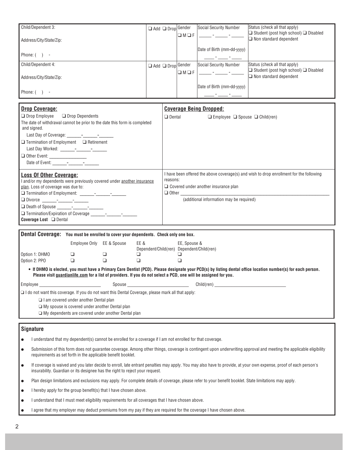| Dron Coverage:                         |                               |                 | Coverage Reing Dronned:    |                                                                                    |
|----------------------------------------|-------------------------------|-----------------|----------------------------|------------------------------------------------------------------------------------|
| Phone: ( )<br>$\overline{\phantom{a}}$ |                               |                 | Date of Birth (mm-dd-yyyy) |                                                                                    |
| Address/City/State/Zip:                |                               | $\Box M \Box F$ |                            | $\Box$ Student (post high school) $\Box$ Disabled<br>$\Box$ Non standard dependent |
| Child/Dependent 4:                     | $\Box$ Add $\Box$ Drop Gender |                 | Social Security Number     | Status (check all that apply)                                                      |
| Phone: ( )                             |                               |                 |                            |                                                                                    |
|                                        |                               |                 | Date of Birth (mm-dd-yyyy) |                                                                                    |
| Address/City/State/Zip:                |                               | $\Box M \Box F$ |                            | $\Box$ Student (post high school) $\Box$ Disabled<br>$\Box$ Non standard dependent |
| Child/Dependent 3:                     | Add O Drop Gender             |                 | Social Security Number     | Status (check all that apply)                                                      |

| <b>Drop Coverage:</b>                                                                                                                                                                                                                | <b>Coverage Being Dropped:</b>                                                                                                                                                                                        |  |  |
|--------------------------------------------------------------------------------------------------------------------------------------------------------------------------------------------------------------------------------------|-----------------------------------------------------------------------------------------------------------------------------------------------------------------------------------------------------------------------|--|--|
| $\Box$ Drop Employee $\Box$ Drop Dependents<br>The date of withdrawal cannot be prior to the date this form is completed<br>and signed.<br>$\Box$ Termination of Employment $\Box$ Retirement<br>Q Other Event: ____________________ | $\Box$ Dental<br>$\Box$ Employee $\Box$ Spouse $\Box$ Child(ren)                                                                                                                                                      |  |  |
| <b>Loss Of Other Coverage:</b><br>and/or my dependents were previously covered under another insurance<br>plan. Loss of coverage was due to:<br><b>Coverage Lost</b> □ Dental                                                        | I have been offered the above coverage(s) and wish to drop enrollment for the following<br>reasons:<br>$\Box$ Covered under another insurance plan<br>$\Box$ Other $\Box$<br>(additional information may be required) |  |  |

| Dental Coverage: You must be enrolled to cover your dependents. Check only one box.                      |               |             |                                           |                                                                                                                                |  |  |  |
|----------------------------------------------------------------------------------------------------------|---------------|-------------|-------------------------------------------|--------------------------------------------------------------------------------------------------------------------------------|--|--|--|
|                                                                                                          | Employee Only | EE & Spouse | EE &                                      | EE, Spouse &                                                                                                                   |  |  |  |
|                                                                                                          |               |             | Dependent/Child(ren) Dependent/Child(ren) |                                                                                                                                |  |  |  |
| Option 1: DHMO                                                                                           |               |             |                                           |                                                                                                                                |  |  |  |
| Option 2: PPO                                                                                            |               |             |                                           |                                                                                                                                |  |  |  |
| Employee                                                                                                 |               | Spouse      |                                           | Please visit quardianlife.com for a list of providers. If you do not select a PCD, one will be assigned for you.<br>Child(ren) |  |  |  |
|                                                                                                          |               |             |                                           |                                                                                                                                |  |  |  |
| $\Box$ I do not want this coverage. If you do not want this Dental Coverage, please mark all that apply: |               |             |                                           |                                                                                                                                |  |  |  |
| $\Box$ I am covered under another Dental plan                                                            |               |             |                                           |                                                                                                                                |  |  |  |
| $\Box$ My spouse is covered under another Dental plan                                                    |               |             |                                           |                                                                                                                                |  |  |  |
| $\Box$ My dependents are covered under another Dental plan                                               |               |             |                                           |                                                                                                                                |  |  |  |

#### **Signature**

- l I understand that my dependent(s) cannot be enrolled for a coverage if I am not enrolled for that coverage.
- l Submission of this form does not guarantee coverage. Among other things, coverage is contingent upon underwriting approval and meeting the applicable eligibility requirements as set forth in the applicable benefit booklet.
- l If coverage is waived and you later decide to enroll, late entrant penalties may apply. You may also have to provide, at your own expense, proof of each person's insurability. Guardian or its designee has the right to reject your request.
- l Plan design limitations and exclusions may apply. For complete details of coverage, please refer to your benefit booklet. State limitations may apply.
- $\bullet$  I hereby apply for the group benefit(s) that I have chosen above.
- l I understand that I must meet eligibility requirements for all coverages that I have chosen above.
- I agree that my employer may deduct premiums from my pay if they are required for the coverage I have chosen above.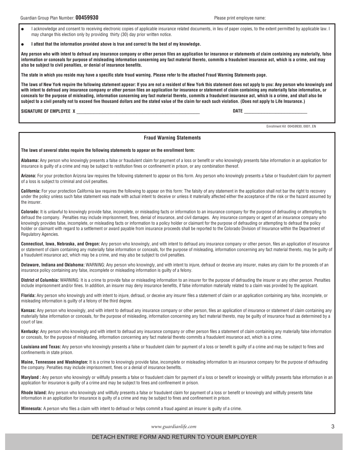- l I acknowledge and consent to receiving electronic copies of applicable insurance related documents, in lieu of paper copies, to the extent permitted by applicable law. I may change this election only by providing thirty (30) day prior written notice.
- l **I attest that the information provided above is true and correct to the best of my knowledge.**

**Any person who with intent to defraud any insurance company or other person files an application for insurance or statements of claim containing any materially, false information or conceals for purpose of misleading information concerning any fact material thereto, commits a fraudulent insurance act, which is a crime, and may also be subject to civil penalties, or denial of insurance benefits.**

**The state in which you reside may have a specific state fraud warning. Please refer to the attached Fraud Warning Statements page.**

**The laws of New York require the following statement appear: If you are not a resident of New York this statement does not apply to you: Any person who knowingly and with intent to defraud any insurance company or other person files an application for insurance or statement of claim containing any materially false information, or conceals for the purpose of misleading, information concerning any fact material thereto, commits a fraudulent insurance act, which is a crime, and shall also be subject to a civil penalty not to exceed five thousand dollars and the stated value of the claim for each such violation. (Does not apply to Life Insurance.)**

**SIGNATURE OF EMPLOYEE X** \_\_\_\_\_\_\_\_\_\_\_\_\_\_\_\_\_\_\_\_\_\_\_\_\_\_\_\_\_\_\_\_\_\_\_\_\_\_\_\_\_\_\_ **DATE** \_\_\_\_\_\_\_\_\_\_\_\_\_\_\_\_\_\_\_\_\_\_

Enrollment Kit 00459930, 0001, EN

#### **Fraud Warning Statements**

#### **The laws of several states require the following statements to appear on the enrollment form:**

**Alabama:** Any person who knowingly presents a false or fraudulent claim for payment of a loss or benefit or who knowingly presents false information in an application for insurance is guilty of a crime and may be subject to restitution fines or confinement in prison, or any combination thereof.

**Arizona:** For your protection Arizona law requires the following statement to appear on this form. Any person who knowingly presents a false or fraudulent claim for payment of a loss is subject to criminal and civil penalties.

**California:** For your protection California law requires the following to appear on this form: The falsity of any statement in the application shall not bar the right to recovery under the policy unless such false statement was made with actual intent to deceive or unless it materially affected either the acceptance of the risk or the hazard assumed by the insurer.

**Colorado:** It is unlawful to knowingly provide false, incomplete, or misleading facts or information to an insurance company for the purpose of defrauding or attempting to defraud the company. Penalties may include imprisonment, fines, denial of insurance, and civil damages. Any insurance company or agent of an insurance company who knowingly provides false, incomplete, or misleading facts or information to a policy holder or claimant for the purpose of defrauding or attempting to defraud the policy holder or claimant with regard to a settlement or award payable from insurance proceeds shall be reported to the Colorado Division of Insurance within the Department of Regulatory Agencies.

**Connecticut, Iowa, Nebraska, and Oregon:** Any person who knowingly, and with intent to defraud any insurance company or other person, files an application of insurance or statement of claim containing any materially false information or conceals, for the purpose of misleading, information concerning any fact material thereto, may be guilty of a fraudulent insurance act, which may be a crime, and may also be subject to civil penalties.

**Delaware, Indiana and Oklahoma:** WARNING: Any person who knowingly, and with intent to injure, defraud or deceive any insurer, makes any claim for the proceeds of an insurance policy containing any false, incomplete or misleading information is guilty of a felony.

**District of Columbia:** WARNING: It is a crime to provide false or misleading information to an insurer for the purpose of defrauding the insurer or any other person. Penalties include imprisonment and/or fines. In addition, an insurer may deny insurance benefits, if false information materially related to a claim was provided by the applicant.

**Florida:** Any person who knowingly and with intent to injure, defraud, or deceive any insurer files a statement of claim or an application containing any false, incomplete, or misleading information is guilty of a felony of the third degree.

**Kansas:** Any person who knowingly, and with intent to defraud any insurance company or other person, files an application of insurance or statement of claim containing any materially false information or conceals, for the purpose of misleading, information concerning any fact material thereto, may be guilty of insurance fraud as determined by a court of law.

**Kentucky:** Any person who knowingly and with intent to defraud any insurance company or other person files a statement of claim containing any materially false information or conceals, for the purpose of misleading, information concerning any fact material thereto commits a fraudulent insurance act, which is a crime.

**Louisiana and Texas:** Any person who knowingly presents a false or fraudulent claim for payment of a loss or benefit is guilty of a crime and may be subject to fines and confinements in state prison.

**Maine, Tennessee and Washington:** It is a crime to knowingly provide false, incomplete or misleading information to an insurance company for the purpose of defrauding the company. Penalties may include imprisonment, fines or a denial of insurance benefits.

**Maryland :** Any person who knowingly or willfully presents a false or fraudulent claim for payment of a loss or benefit or knowingly or willfully presents false information in an application for insurance is guilty of a crime and may be subject to fines and confinement in prison.

**Rhode Island:** Any person who knowingly and willfully presents a false or fraudulent claim for payment of a loss or benefit or knowingly and willfully presents false information in an application for insurance is guilty of a crime and may be subject to fines and confinement in prison.

**Minnesota:** A person who files a claim with intent to defraud or helps commit a fraud against an insurer is guilty of a crime.

www.guardianlife.com 3